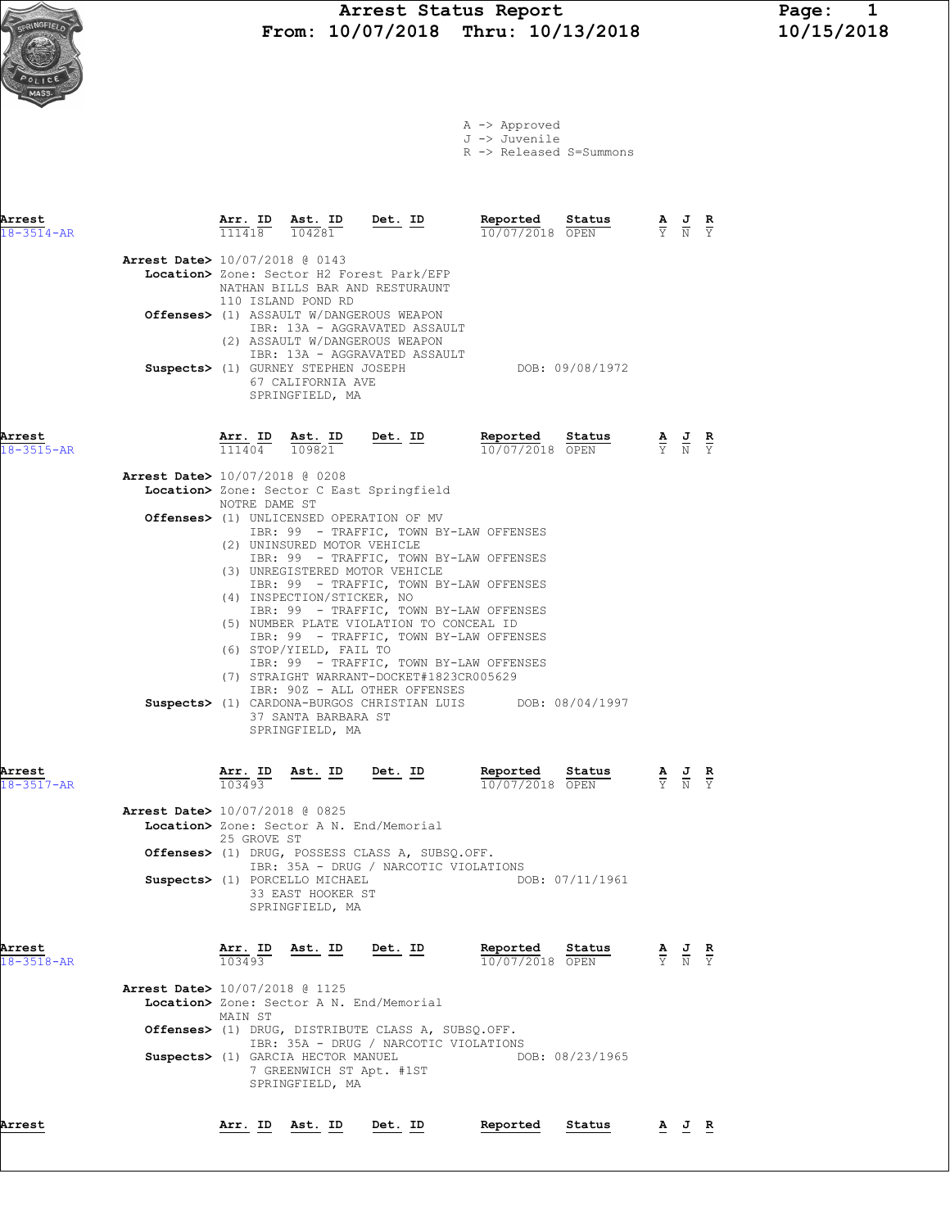# Arrest Status Report Page: 1<br>10/07/2018 Thru: 10/13/2018 10/15/2018 From: 10/07/2018 Thru: 10/13/2018

|  | A -> Approved |                                    |
|--|---------------|------------------------------------|
|  | J -> Juvenile |                                    |
|  |               | $R \rightarrow$ Released S=Summons |

| Arrest<br>18-3514-AR       |                                          | <u>Arr. ID</u>    | Ast. ID Det. ID<br>104281                                                                                                      |                                                                                                                                                                                                                                                                                                                                                                                                                                                                                                                                                                                             | Reported<br>10/07/2018 OPEN        | Status                    |                                                                                                 | $\frac{\mathbf{A}}{\mathbf{Y}}$ $\frac{\mathbf{J}}{\mathbf{N}}$                                       |  |
|----------------------------|------------------------------------------|-------------------|--------------------------------------------------------------------------------------------------------------------------------|---------------------------------------------------------------------------------------------------------------------------------------------------------------------------------------------------------------------------------------------------------------------------------------------------------------------------------------------------------------------------------------------------------------------------------------------------------------------------------------------------------------------------------------------------------------------------------------------|------------------------------------|---------------------------|-------------------------------------------------------------------------------------------------|-------------------------------------------------------------------------------------------------------|--|
|                            | <b>Arrest Date&gt;</b> 10/07/2018 @ 0143 |                   | 110 ISLAND POND RD<br>Suspects> (1) GURNEY STEPHEN JOSEPH<br>67 CALIFORNIA AVE<br>SPRINGFIELD, MA                              | Location> Zone: Sector H2 Forest Park/EFP<br>NATHAN BILLS BAR AND RESTURAUNT<br>Offenses> (1) ASSAULT W/DANGEROUS WEAPON<br>IBR: 13A - AGGRAVATED ASSAULT<br>(2) ASSAULT W/DANGEROUS WEAPON<br>IBR: 13A - AGGRAVATED ASSAULT                                                                                                                                                                                                                                                                                                                                                                |                                    | DOB: 09/08/1972           |                                                                                                 |                                                                                                       |  |
| Arrest<br>$18 - 3515 - AR$ |                                          |                   |                                                                                                                                | $\frac{\texttt{Arr.}}{111404}$ $\frac{\texttt{Ab.}}{109821}$ $\frac{\texttt{Det.}}{109821}$                                                                                                                                                                                                                                                                                                                                                                                                                                                                                                 | Reported Status<br>10/07/2018 OPEN |                           | $\frac{\mathbf{A}}{\mathbf{Y}}$ $\frac{\mathbf{J}}{\mathbf{N}}$ $\frac{\mathbf{R}}{\mathbf{Y}}$ |                                                                                                       |  |
|                            | Arrest Date> 10/07/2018 @ 0208           | NOTRE DAME ST     | (2) UNINSURED MOTOR VEHICLE<br>(4) INSPECTION/STICKER, NO<br>(6) STOP/YIELD, FAIL TO<br>37 SANTA BARBARA ST<br>SPRINGFIELD, MA | Location> Zone: Sector C East Springfield<br><b>Offenses&gt;</b> (1) UNLICENSED OPERATION OF MV<br>IBR: 99 - TRAFFIC, TOWN BY-LAW OFFENSES<br>IBR: 99 - TRAFFIC, TOWN BY-LAW OFFENSES<br>(3) UNREGISTERED MOTOR VEHICLE<br>IBR: 99 - TRAFFIC, TOWN BY-LAW OFFENSES<br>IBR: 99 - TRAFFIC, TOWN BY-LAW OFFENSES<br>(5) NUMBER PLATE VIOLATION TO CONCEAL ID<br>IBR: 99 - TRAFFIC, TOWN BY-LAW OFFENSES<br>IBR: 99 - TRAFFIC, TOWN BY-LAW OFFENSES<br>(7) STRAIGHT WARRANT-DOCKET#1823CR005629<br>IBR: 90Z - ALL OTHER OFFENSES<br>Suspects> (1) CARDONA-BURGOS CHRISTIAN LUIS DOB: 08/04/1997 |                                    |                           |                                                                                                 |                                                                                                       |  |
| Arrest<br>$18 - 3517 - AR$ |                                          | 103493            | $\frac{\text{Arr. ID}}{\text{max. ID}}$ Ast. ID Det. ID                                                                        |                                                                                                                                                                                                                                                                                                                                                                                                                                                                                                                                                                                             | Reported Status<br>10/07/2018 OPEN |                           |                                                                                                 | $\frac{\mathbf{A}}{\overline{Y}}$ $\frac{\mathbf{J}}{\overline{N}}$ $\frac{\mathbf{R}}{\overline{Y}}$ |  |
|                            | Arrest Date> 10/07/2018 @ 0825           | 25 GROVE ST       | Suspects> (1) PORCELLO MICHAEL<br>33 EAST HOOKER ST<br>SPRINGFIELD, MA                                                         | Location> Zone: Sector A N. End/Memorial<br>Offenses> (1) DRUG, POSSESS CLASS A, SUBSQ.OFF.<br>IBR: 35A - DRUG / NARCOTIC VIOLATIONS                                                                                                                                                                                                                                                                                                                                                                                                                                                        |                                    | DOB: 07/11/1961           |                                                                                                 |                                                                                                       |  |
| Arrest<br>$18 - 3518 - AR$ | Arrest Date> 10/07/2018 @ 1125           | 103493<br>MAIN ST | Arr. ID Ast. ID<br>Suspects> (1) GARCIA HECTOR MANUEL<br>7 GREENWICH ST Apt. #1ST<br>SPRINGFIELD, MA                           | Det. ID<br>Location> Zone: Sector A N. End/Memorial<br>Offenses> (1) DRUG, DISTRIBUTE CLASS A, SUBSQ.OFF.<br>IBR: 35A - DRUG / NARCOTIC VIOLATIONS                                                                                                                                                                                                                                                                                                                                                                                                                                          | Reported<br>10/07/2018 OPEN        | Status<br>DOB: 08/23/1965 |                                                                                                 | $\frac{\mathbf{A}}{\mathbf{Y}}$ $\frac{\mathbf{J}}{\mathbf{N}}$ $\frac{\mathbf{R}}{\mathbf{Y}}$       |  |
| Arrest                     |                                          | Arr. ID           | Ast. ID                                                                                                                        | Det. ID                                                                                                                                                                                                                                                                                                                                                                                                                                                                                                                                                                                     | Reported                           | Status                    |                                                                                                 | <u>AJR</u>                                                                                            |  |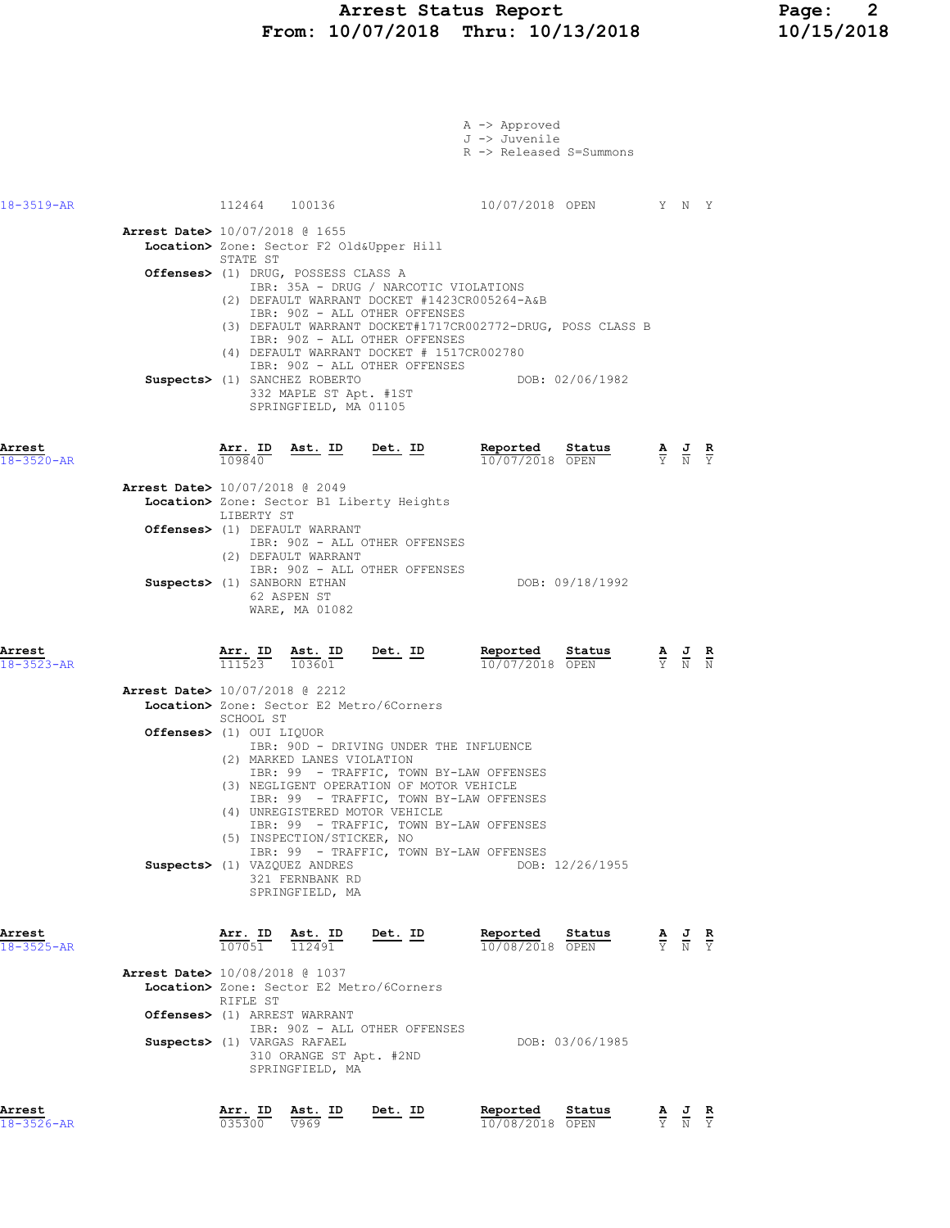#### Arrest Status Report Page: 2 From: 10/07/2018 Thru: 10/13/2018 10/15/2018

|                            |                                                                                                                                                                                                                                     | A -> Approved<br>J -> Juvenile<br>R -> Released S=Summons                                                                                                                                                          |                                                                                                       |
|----------------------------|-------------------------------------------------------------------------------------------------------------------------------------------------------------------------------------------------------------------------------------|--------------------------------------------------------------------------------------------------------------------------------------------------------------------------------------------------------------------|-------------------------------------------------------------------------------------------------------|
| 18-3519-AR                 | 112464 100136                                                                                                                                                                                                                       |                                                                                                                                                                                                                    | 10/07/2018 OPEN Y N Y                                                                                 |
|                            | Arrest Date> 10/07/2018 @ 1655<br>Location> Zone: Sector F2 Old&Upper Hill<br>STATE ST                                                                                                                                              |                                                                                                                                                                                                                    |                                                                                                       |
|                            | Offenses> (1) DRUG, POSSESS CLASS A<br>(2) DEFAULT WARRANT DOCKET #1423CR005264-A&B<br>IBR: 90Z - ALL OTHER OFFENSES<br>IBR: 90Z - ALL OTHER OFFENSES<br>(4) DEFAULT WARRANT DOCKET # 1517CR002780<br>IBR: 90Z - ALL OTHER OFFENSES | IBR: 35A - DRUG / NARCOTIC VIOLATIONS<br>(3) DEFAULT WARRANT DOCKET#1717CR002772-DRUG, POSS CLASS B                                                                                                                |                                                                                                       |
| Arrest<br>$18 - 3520 - AR$ | Suspects> (1) SANCHEZ ROBERTO<br>332 MAPLE ST Apt. #1ST<br>SPRINGFIELD, MA 01105<br>$\frac{\texttt{Arr. ID}}{109840}$ Ast. ID Det. ID                                                                                               | DOB: 02/06/1982<br>Reported<br>Status<br>10/07/2018 OPEN                                                                                                                                                           | $\frac{\mathbf{A}}{\mathbf{Y}}$ $\frac{\mathbf{J}}{\mathbf{N}}$ $\frac{\mathbf{R}}{\mathbf{Y}}$       |
|                            | <b>Arrest Date&gt;</b> 10/07/2018 @ 2049<br>Location> Zone: Sector B1 Liberty Heights<br>LIBERTY ST                                                                                                                                 |                                                                                                                                                                                                                    |                                                                                                       |
|                            | Offenses> (1) DEFAULT WARRANT<br>IBR: 90Z - ALL OTHER OFFENSES<br>(2) DEFAULT WARRANT<br>IBR: 90Z - ALL OTHER OFFENSES<br>Suspects> (1) SANBORN ETHAN<br>62 ASPEN ST<br>WARE, MA 01082                                              | DOB: 09/18/1992                                                                                                                                                                                                    |                                                                                                       |
| Arrest<br>$18 - 3523 - AR$ | $\frac{\text{Arr. ID}}{111523}$ $\frac{\text{Ast. ID}}{103601}$ $\frac{\text{Det. ID}}{103601}$<br>$\overline{111523}$ $\overline{103601}$                                                                                          | Reported Status<br>10/07/2018 OPEN                                                                                                                                                                                 | $\frac{\mathbf{A}}{\overline{Y}}$ $\frac{\mathbf{J}}{\overline{N}}$ $\frac{\mathbf{R}}{\overline{N}}$ |
|                            | <b>Arrest Date&gt;</b> 10/07/2018 @ 2212<br>Location> Zone: Sector E2 Metro/6Corners<br>SCHOOL ST                                                                                                                                   |                                                                                                                                                                                                                    |                                                                                                       |
|                            | Offenses> (1) OUI LIQUOR<br>(2) MARKED LANES VIOLATION<br>(3) NEGLIGENT OPERATION OF MOTOR VEHICLE<br>(4) UNREGISTERED MOTOR VEHICLE<br>(5) INSPECTION/STICKER, NO                                                                  | IBR: 90D - DRIVING UNDER THE INFLUENCE<br>IBR: 99 - TRAFFIC, TOWN BY-LAW OFFENSES<br>IBR: 99 - TRAFFIC, TOWN BY-LAW OFFENSES<br>IBR: 99 - TRAFFIC, TOWN BY-LAW OFFENSES<br>IBR: 99 - TRAFFIC, TOWN BY-LAW OFFENSES |                                                                                                       |
|                            | Suspects> (1) VAZQUEZ ANDRES<br>321 FERNBANK RD<br>SPRINGFIELD, MA                                                                                                                                                                  | DOB: 12/26/1955                                                                                                                                                                                                    |                                                                                                       |
| Arrest<br>$18 - 3525 - AR$ | Arr. ID Ast. ID Det. ID<br>107051<br>112491                                                                                                                                                                                         | Reported Status<br>10/08/2018 OPEN                                                                                                                                                                                 | $\frac{\mathbf{A}}{\mathbf{Y}}$ $\frac{\mathbf{J}}{\mathbf{N}}$ $\frac{\mathbf{R}}{\mathbf{Y}}$       |
|                            | Arrest Date> 10/08/2018 @ 1037<br>Location> Zone: Sector E2 Metro/6Corners<br>RIFLE ST<br>Offenses> (1) ARREST WARRANT<br>IBR: 90Z - ALL OTHER OFFENSES                                                                             |                                                                                                                                                                                                                    |                                                                                                       |
|                            | Suspects> (1) VARGAS RAFAEL<br>310 ORANGE ST Apt. #2ND<br>SPRINGFIELD, MA                                                                                                                                                           | DOB: 03/06/1985                                                                                                                                                                                                    |                                                                                                       |
| Arrest<br>18-3526-AR       | <u>Arr.</u> ID<br>Ast. ID<br>035300<br>V969                                                                                                                                                                                         | Reported<br><u>Det. ID</u><br>Status<br>10/08/2018 OPEN                                                                                                                                                            | $\frac{\mathbf{A}}{\mathbf{Y}}$ $\frac{\mathbf{J}}{\mathbf{N}}$ $\frac{\mathbf{R}}{\mathbf{Y}}$       |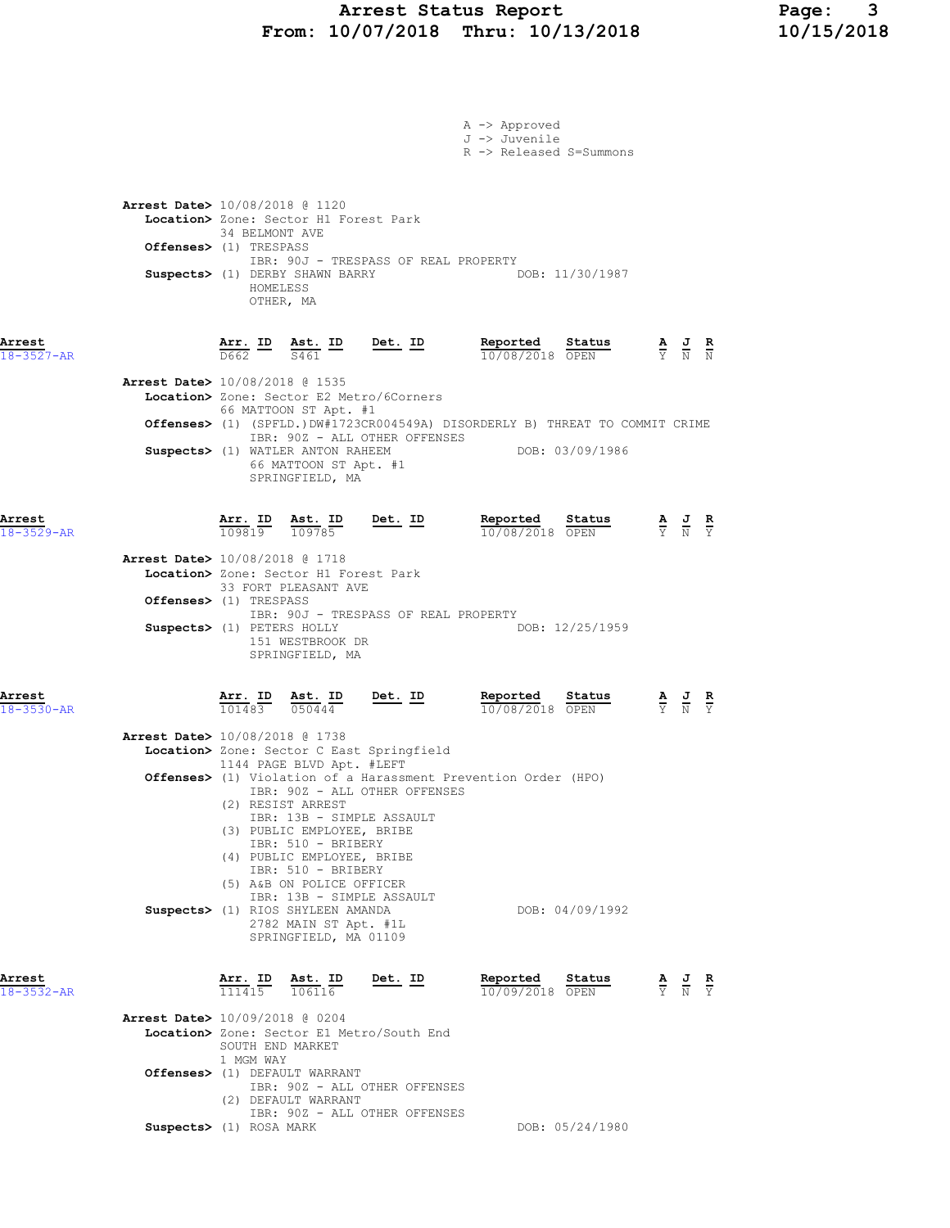# Arrest Status Report Page: 3 From: 10/07/2018 Thru: 10/13/2018 10/15/2018

|                            |                                                                                                                                                                              |                                                                                                                                                               |                                      | A -> Approved<br>J -> Juvenile<br>R -> Released S=Summons                    |                 |                                                                                                 |  |
|----------------------------|------------------------------------------------------------------------------------------------------------------------------------------------------------------------------|---------------------------------------------------------------------------------------------------------------------------------------------------------------|--------------------------------------|------------------------------------------------------------------------------|-----------------|-------------------------------------------------------------------------------------------------|--|
|                            | Arrest Date> 10/08/2018 @ 1120<br>Location> Zone: Sector H1 Forest Park<br>34 BELMONT AVE<br><b>Offenses&gt;</b> (1) TRESPASS<br>Suspects> (1) DERBY SHAWN BARRY<br>HOMELESS | OTHER, MA                                                                                                                                                     | IBR: 90J - TRESPASS OF REAL PROPERTY |                                                                              | DOB: 11/30/1987 |                                                                                                 |  |
| Arrest<br>$18 - 3527 - AR$ |                                                                                                                                                                              | $\frac{\texttt{Arr.}}{\texttt{D662}}$ $\frac{\texttt{lb}}{\texttt{S461}}$ $\frac{\texttt{lb}}{\texttt{S461}}$                                                 | $Det. ID$                            | Reported<br>10/08/2018 OPEN                                                  | Status          | $\frac{\mathbf{A}}{\mathbf{Y}}$ $\frac{\mathbf{J}}{\mathbf{N}}$ $\frac{\mathbf{R}}{\mathbf{N}}$ |  |
|                            | <b>Arrest Date&gt;</b> 10/08/2018 @ 1535<br>Location> Zone: Sector E2 Metro/6Corners<br>Suspects> (1) WATLER ANTON RAHEEM                                                    | 66 MATTOON ST Apt. #1<br>66 MATTOON ST Apt. #1<br>SPRINGFIELD, MA                                                                                             | IBR: 90Z - ALL OTHER OFFENSES        | Offenses> (1) (SPFLD.)DW#1723CR004549A) DISORDERLY B) THREAT TO COMMIT CRIME | DOB: 03/09/1986 |                                                                                                 |  |
| Arrest<br>$18 - 3529 - AR$ |                                                                                                                                                                              | $\frac{\texttt{Arr.}}{109819}$ $\frac{\texttt{Ast.}}{109785}$ Det. ID                                                                                         |                                      | Reported Status<br>10/08/2018 OPEN                                           |                 | $\frac{\mathbf{A}}{\mathbf{Y}}$ $\frac{\mathbf{J}}{\mathbf{N}}$ $\frac{\mathbf{R}}{\mathbf{Y}}$ |  |
|                            | Arrest Date> 10/08/2018 @ 1718<br>Location> Zone: Sector H1 Forest Park<br>Offenses> (1) TRESPASS<br>Suspects> (1) PETERS HOLLY                                              | 33 FORT PLEASANT AVE<br>151 WESTBROOK DR<br>SPRINGFIELD, MA                                                                                                   | IBR: 90J - TRESPASS OF REAL PROPERTY |                                                                              | DOB: 12/25/1959 |                                                                                                 |  |
| Arrest<br>$18 - 3530 - AR$ |                                                                                                                                                                              | Arr. ID Ast. ID<br>$\overline{101483}$ $\overline{050444}$                                                                                                    | $Det. ID$                            | Reported<br>10/08/2018 OPEN                                                  | Status          | $\frac{\mathbf{A}}{\mathbf{Y}}$ $\frac{\mathbf{J}}{\mathbf{N}}$ $\frac{\mathbf{R}}{\mathbf{Y}}$ |  |
|                            | Arrest Date> 10/08/2018 @ 1738<br>Location> Zone: Sector C East Springfield                                                                                                  | 1144 PAGE BLVD Apt. #LEFT<br>(2) RESIST ARREST<br>IBR: 13B - SIMPLE ASSAULT<br>(3) PUBLIC EMPLOYEE, BRIBE<br>IBR: 510 - BRIBERY<br>(4) PUBLIC EMPLOYEE, BRIBE | IBR: 90Z - ALL OTHER OFFENSES        | <b>Offenses&gt;</b> (1) Violation of a Harassment Prevention Order (HPO)     |                 |                                                                                                 |  |
|                            | Suspects> (1) RIOS SHYLEEN AMANDA                                                                                                                                            | IBR: 510 - BRIBERY<br>(5) A&B ON POLICE OFFICER<br>IBR: 13B - SIMPLE ASSAULT<br>2782 MAIN ST Apt. #1L<br>SPRINGFIELD, MA 01109                                |                                      |                                                                              | DOB: 04/09/1992 |                                                                                                 |  |
| Arrest<br>$18 - 3532 - AR$ |                                                                                                                                                                              | $\frac{\texttt{Arr.}}{111415}$ $\frac{\texttt{ Ast.}}{106116}$                                                                                                | <u>Det.</u> ID                       | Reported Status<br>10/09/2018 OPEN                                           |                 | $\frac{\mathbf{A}}{\mathbf{Y}}$ $\frac{\mathbf{J}}{\mathbf{N}}$ $\frac{\mathbf{R}}{\mathbf{Y}}$ |  |
|                            | Arrest Date> 10/09/2018 @ 0204<br>Location> Zone: Sector E1 Metro/South End<br>SOUTH END MARKET<br>1 MGM WAY                                                                 |                                                                                                                                                               |                                      |                                                                              |                 |                                                                                                 |  |
|                            | Offenses> (1) DEFAULT WARRANT                                                                                                                                                | (2) DEFAULT WARRANT                                                                                                                                           | IBR: 90Z - ALL OTHER OFFENSES        |                                                                              |                 |                                                                                                 |  |
|                            | Suspects> (1) ROSA MARK                                                                                                                                                      |                                                                                                                                                               | IBR: 90Z - ALL OTHER OFFENSES        |                                                                              | DOB: 05/24/1980 |                                                                                                 |  |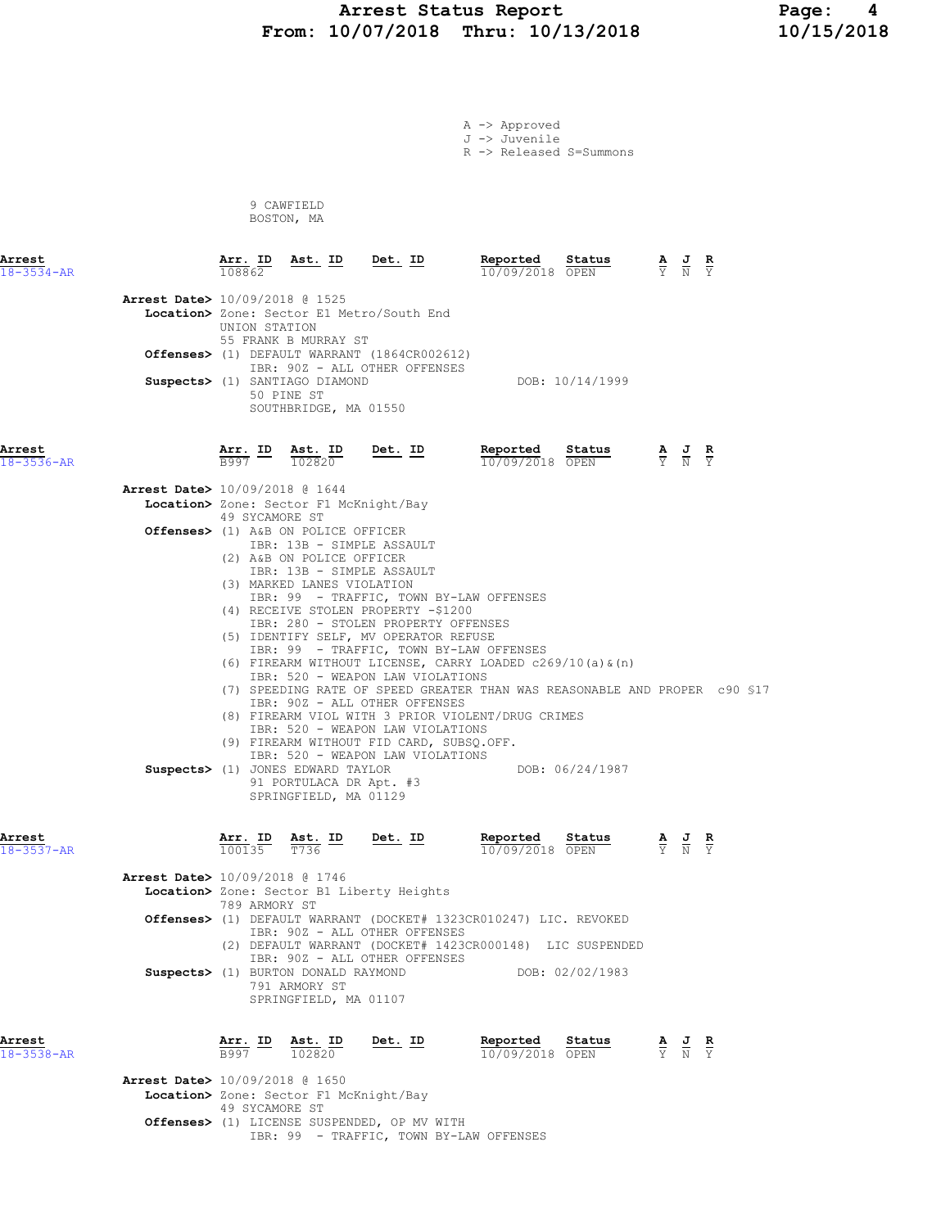# Arrest Status Report 10/13/2018 Page: 4<br>10/07/2018 Thru: 10/13/2018 10/15/2018 From: 10/07/2018 Thru: 10/13/2018

A -> Approved J -> Juvenile

R -> Released S=Summons

 9 CAWFIELD BOSTON, MA

| Arrest<br>$18 - 3534 - AR$ |                                                                                       | 108862                                   | $\frac{\text{Arr. ID}}{\text{max. ID}}$ $\frac{\text{Ast. ID}}{\text{max. ID}}$ $\frac{\text{Det. ID}}{\text{max. ID}}$                  |                |                                                                                                                                                                                                                                                                                                                                                                                                                                                                                                                                                                                                                              | Reported | Status<br>10/09/2018 OPEN |                                                                      | $\frac{\mathbf{A}}{\mathbf{Y}}$ $\frac{\mathbf{J}}{\mathbf{N}}$ |               |  |
|----------------------------|---------------------------------------------------------------------------------------|------------------------------------------|------------------------------------------------------------------------------------------------------------------------------------------|----------------|------------------------------------------------------------------------------------------------------------------------------------------------------------------------------------------------------------------------------------------------------------------------------------------------------------------------------------------------------------------------------------------------------------------------------------------------------------------------------------------------------------------------------------------------------------------------------------------------------------------------------|----------|---------------------------|----------------------------------------------------------------------|-----------------------------------------------------------------|---------------|--|
|                            | <b>Arrest Date&gt;</b> 10/09/2018 @ 1525<br>Location> Zone: Sector E1 Metro/South End | UNION STATION                            | 55 FRANK B MURRAY ST                                                                                                                     |                |                                                                                                                                                                                                                                                                                                                                                                                                                                                                                                                                                                                                                              |          |                           |                                                                      |                                                                 |               |  |
|                            | Offenses> (1) DEFAULT WARRANT (1864CR002612)                                          |                                          |                                                                                                                                          |                | IBR: 90Z - ALL OTHER OFFENSES                                                                                                                                                                                                                                                                                                                                                                                                                                                                                                                                                                                                |          |                           |                                                                      |                                                                 |               |  |
|                            | Suspects> (1) SANTIAGO DIAMOND                                                        | 50 PINE ST                               | SOUTHBRIDGE, MA 01550                                                                                                                    |                |                                                                                                                                                                                                                                                                                                                                                                                                                                                                                                                                                                                                                              |          | DOB: 10/14/1999           |                                                                      |                                                                 |               |  |
| Arrest<br>18-3536-AR       |                                                                                       | $\frac{\texttt{Arr.}}{\texttt{B997}}$ ID | $\frac{\texttt{Ast.}}{102820}$                                                                                                           |                | <u>Det.</u> ID Reported<br>$\frac{10}{10/09/2018}$                                                                                                                                                                                                                                                                                                                                                                                                                                                                                                                                                                           |          |                           | <b>Reported Status A J</b><br>$\frac{10}{0.09}$ /09/2018 <b>OPEN</b> |                                                                 | $\frac{R}{Y}$ |  |
|                            | <b>Arrest Date&gt;</b> 10/09/2018 @ 1644<br>Location> Zone: Sector F1 McKnight/Bay    |                                          |                                                                                                                                          |                |                                                                                                                                                                                                                                                                                                                                                                                                                                                                                                                                                                                                                              |          |                           |                                                                      |                                                                 |               |  |
|                            | Offenses> (1) A&B ON POLICE OFFICER                                                   | 49 SYCAMORE ST                           |                                                                                                                                          |                |                                                                                                                                                                                                                                                                                                                                                                                                                                                                                                                                                                                                                              |          |                           |                                                                      |                                                                 |               |  |
|                            |                                                                                       |                                          | IBR: 13B - SIMPLE ASSAULT                                                                                                                |                |                                                                                                                                                                                                                                                                                                                                                                                                                                                                                                                                                                                                                              |          |                           |                                                                      |                                                                 |               |  |
|                            | Suspects> (1) JONES EDWARD TAYLOR                                                     |                                          | (2) A&B ON POLICE OFFICER<br>IBR: 13B - SIMPLE ASSAULT<br>(3) MARKED LANES VIOLATION<br>91 PORTULACA DR Apt. #3<br>SPRINGFIELD, MA 01129 |                | IBR: 99 - TRAFFIC, TOWN BY-LAW OFFENSES<br>(4) RECEIVE STOLEN PROPERTY -\$1200<br>IBR: 280 - STOLEN PROPERTY OFFENSES<br>(5) IDENTIFY SELF, MV OPERATOR REFUSE<br>IBR: 99 - TRAFFIC, TOWN BY-LAW OFFENSES<br>(6) FIREARM WITHOUT LICENSE, CARRY LOADED $c269/10$ (a) $\&$ (n)<br>IBR: 520 - WEAPON LAW VIOLATIONS<br>(7) SPEEDING RATE OF SPEED GREATER THAN WAS REASONABLE AND PROPER c90 \$17<br>IBR: 90Z - ALL OTHER OFFENSES<br>(8) FIREARM VIOL WITH 3 PRIOR VIOLENT/DRUG CRIMES<br>IBR: 520 - WEAPON LAW VIOLATIONS<br>(9) FIREARM WITHOUT FID CARD, SUBSQ.OFF.<br>IBR: 520 - WEAPON LAW VIOLATIONS<br>DOB: 06/24/1987 |          |                           |                                                                      |                                                                 |               |  |
| Arrest<br>$18 - 3537 - AR$ |                                                                                       | <u>Arr.</u> ID<br>100135                 | $\frac{\text{Ast.}}{\text{T}736}$ ID                                                                                                     | <u>Det.</u> ID |                                                                                                                                                                                                                                                                                                                                                                                                                                                                                                                                                                                                                              | Reported | 10/09/2018 OPEN           | $\frac{\texttt{Status}}{\text{OPTN}}$                                |                                                                 |               |  |
|                            | Arrest Date> 10/09/2018 @ 1746<br>Location> Zone: Sector B1 Liberty Heights           | 789 ARMORY ST                            |                                                                                                                                          |                |                                                                                                                                                                                                                                                                                                                                                                                                                                                                                                                                                                                                                              |          |                           |                                                                      |                                                                 |               |  |
|                            | Offenses> (1) DEFAULT WARRANT (DOCKET# 1323CR010247) LIC. REVOKED                     |                                          |                                                                                                                                          |                | IBR: 90Z - ALL OTHER OFFENSES<br>(2) DEFAULT WARRANT (DOCKET# 1423CR000148) LIC SUSPENDED                                                                                                                                                                                                                                                                                                                                                                                                                                                                                                                                    |          |                           |                                                                      |                                                                 |               |  |
|                            | Suspects> (1) BURTON DONALD RAYMOND                                                   |                                          | 791 ARMORY ST<br>SPRINGFIELD, MA 01107                                                                                                   |                | IBR: 90Z - ALL OTHER OFFENSES                                                                                                                                                                                                                                                                                                                                                                                                                                                                                                                                                                                                |          | DOB: 02/02/1983           |                                                                      |                                                                 |               |  |
| Arrest<br>18-3538-AR       |                                                                                       | <u>Arr. ID</u><br>B997                   | Ast. ID<br>102820                                                                                                                        | Det. ID        |                                                                                                                                                                                                                                                                                                                                                                                                                                                                                                                                                                                                                              | Reported | Status<br>10/09/2018 OPEN |                                                                      | $\frac{\mathbf{A}}{\mathbf{Y}}$ $\frac{\mathbf{J}}{\mathbf{N}}$ |               |  |
|                            | Arrest Date> 10/09/2018 @ 1650<br>Location> Zone: Sector F1 McKnight/Bay              | 49 SYCAMORE ST                           |                                                                                                                                          |                |                                                                                                                                                                                                                                                                                                                                                                                                                                                                                                                                                                                                                              |          |                           |                                                                      |                                                                 |               |  |
|                            | Offenses> (1) LICENSE SUSPENDED, OP MV WITH                                           |                                          |                                                                                                                                          |                |                                                                                                                                                                                                                                                                                                                                                                                                                                                                                                                                                                                                                              |          |                           |                                                                      |                                                                 |               |  |

IBR: 99 - TRAFFIC, TOWN BY-LAW OFFENSES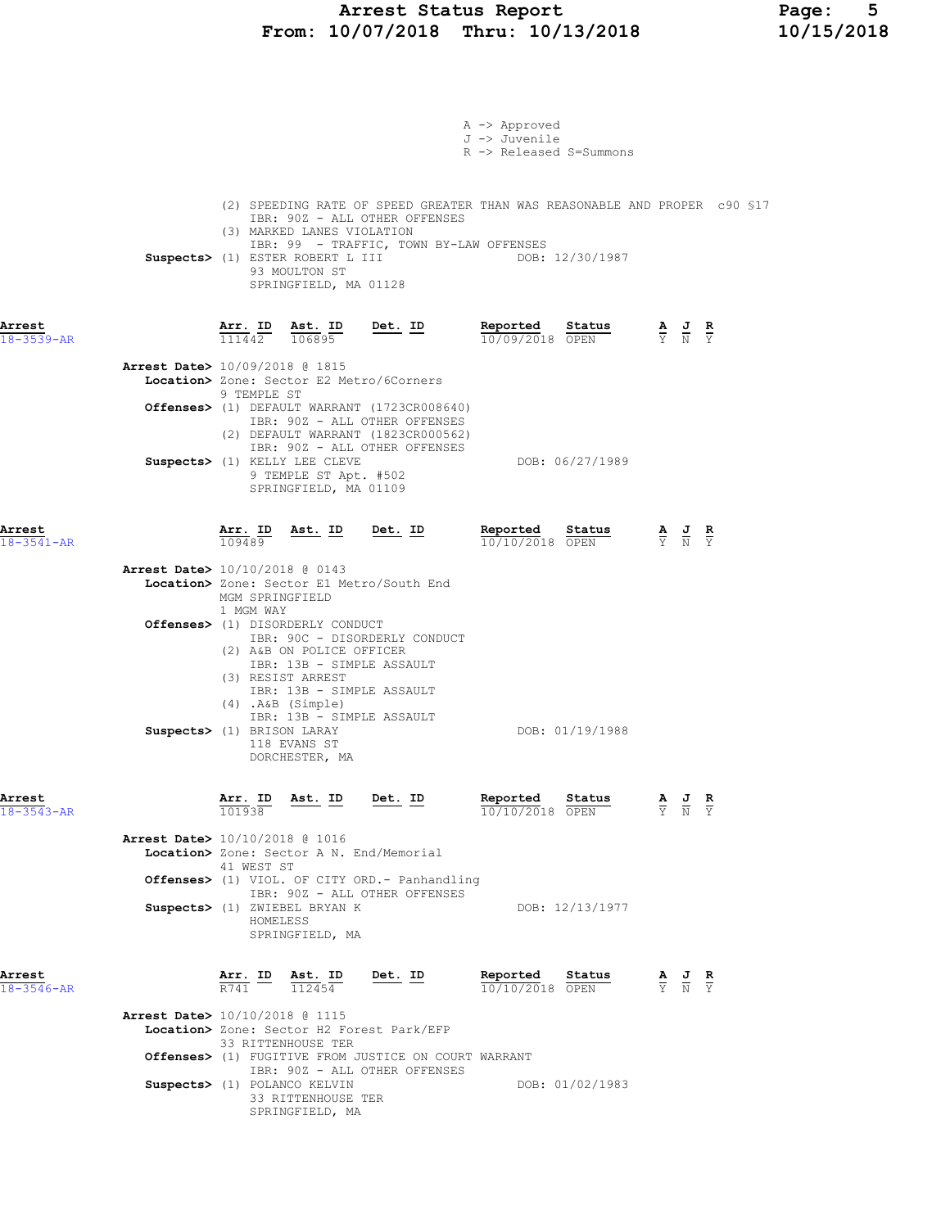# Arrest Status Report Page: 5 From: 10/07/2018 Thru: 10/13/2018 10/15/2018

|                            |                                                                                                                                                                                                    | A -> Approved<br>J -> Juvenile<br>R -> Released S=Summons                                                                                                              |
|----------------------------|----------------------------------------------------------------------------------------------------------------------------------------------------------------------------------------------------|------------------------------------------------------------------------------------------------------------------------------------------------------------------------|
|                            | IBR: 90Z - ALL OTHER OFFENSES<br>(3) MARKED LANES VIOLATION<br>IBR: 99 - TRAFFIC, TOWN BY-LAW OFFENSES<br>Suspects> (1) ESTER ROBERT L III<br>93 MOULTON ST<br>SPRINGFIELD, MA 01128               | (2) SPEEDING RATE OF SPEED GREATER THAN WAS REASONABLE AND PROPER c90 \$17<br>DOB: 12/30/1987                                                                          |
| Arrest<br>$18 - 3539 - AR$ | $\overline{\text{Arr. ID}}$ $\overline{\text{ID}}$ $\overline{\text{Ast. ID}}$ $\overline{\text{ID}}$ $\overline{\text{Det. ID}}$<br>111442<br>106895                                              | Reported Status<br>$\frac{\mathbf{A}}{\mathbf{Y}}$ $\frac{\mathbf{J}}{\mathbf{N}}$ $\frac{\mathbf{R}}{\mathbf{Y}}$<br>10/09/2018 OPEN                                  |
|                            | Arrest Date> 10/09/2018 @ 1815<br>Location> Zone: Sector E2 Metro/6Corners<br>9 TEMPLE ST<br>Offenses> (1) DEFAULT WARRANT (1723CR008640)                                                          |                                                                                                                                                                        |
|                            | IBR: 90Z - ALL OTHER OFFENSES<br>(2) DEFAULT WARRANT (1823CR000562)<br>IBR: 90Z - ALL OTHER OFFENSES<br>Suspects> (1) KELLY LEE CLEVE<br>9 TEMPLE ST Apt. #502<br>SPRINGFIELD, MA 01109            | DOB: 06/27/1989                                                                                                                                                        |
| Arrest<br>$18 - 3541 - AR$ | Arr. ID<br>Ast. ID Det. ID<br>109489                                                                                                                                                               | Reported Status<br>$\frac{\mathbf{A}}{\mathbf{Y}}$ $\frac{\mathbf{J}}{\mathbf{N}}$ $\frac{\mathbf{R}}{\mathbf{Y}}$<br>$\frac{10}{10/10/2018}$ $\frac{10}{\text{OPEN}}$ |
|                            | Arrest Date> 10/10/2018 @ 0143<br>Location> Zone: Sector E1 Metro/South End<br>MGM SPRINGFIELD<br>1 MGM WAY                                                                                        |                                                                                                                                                                        |
|                            | Offenses> (1) DISORDERLY CONDUCT<br>IBR: 90C - DISORDERLY CONDUCT<br>(2) A&B ON POLICE OFFICER<br>IBR: 13B - SIMPLE ASSAULT<br>(3) RESIST ARREST<br>IBR: 13B - SIMPLE ASSAULT<br>(4) .A&B (Simple) |                                                                                                                                                                        |
|                            | IBR: 13B - SIMPLE ASSAULT<br>Suspects> (1) BRISON LARAY<br>118 EVANS ST<br>DORCHESTER, MA                                                                                                          | DOB: 01/19/1988                                                                                                                                                        |
| Arrest<br>$18 - 3543 - AR$ | Arr. ID Ast. ID Det. ID<br>101938                                                                                                                                                                  | <b>Reported</b> Status $\frac{R}{10/10/2018}$ $\frac{R}{OPEN}$ $\frac{R}{Y}$ $\frac{J}{N}$ $\frac{R}{Y}$                                                               |
|                            | Arrest Date> 10/10/2018 @ 1016<br>Location> Zone: Sector A N. End/Memorial<br>41 WEST ST                                                                                                           |                                                                                                                                                                        |
|                            | Offenses> (1) VIOL. OF CITY ORD. - Panhandling<br>IBR: 90Z - ALL OTHER OFFENSES<br>Suspects> (1) ZWIEBEL BRYAN K<br>HOMELESS<br>SPRINGFIELD, MA                                                    | DOB: 12/13/1977                                                                                                                                                        |
| Arrest<br>$18 - 3546 - AR$ | Arr. ID Ast. ID<br>Det. ID<br>R741<br>112454                                                                                                                                                       | Reported<br>Status<br>$\frac{\mathbf{A}}{\mathbf{Y}}$ $\frac{\mathbf{J}}{\mathbf{N}}$ $\frac{\mathbf{R}}{\mathbf{Y}}$<br>10/10/2018 OPEN                               |
|                            | Arrest Date> 10/10/2018 @ 1115<br>Location> Zone: Sector H2 Forest Park/EFP<br>33 RITTENHOUSE TER<br><b>Offenses&gt;</b> (1) FUGITIVE FROM JUSTICE ON COURT WARRANT                                |                                                                                                                                                                        |
|                            | IBR: 90Z - ALL OTHER OFFENSES<br>Suspects> (1) POLANCO KELVIN<br>33 RITTENHOUSE TER                                                                                                                | DOB: 01/02/1983                                                                                                                                                        |

SPRINGFIELD, MA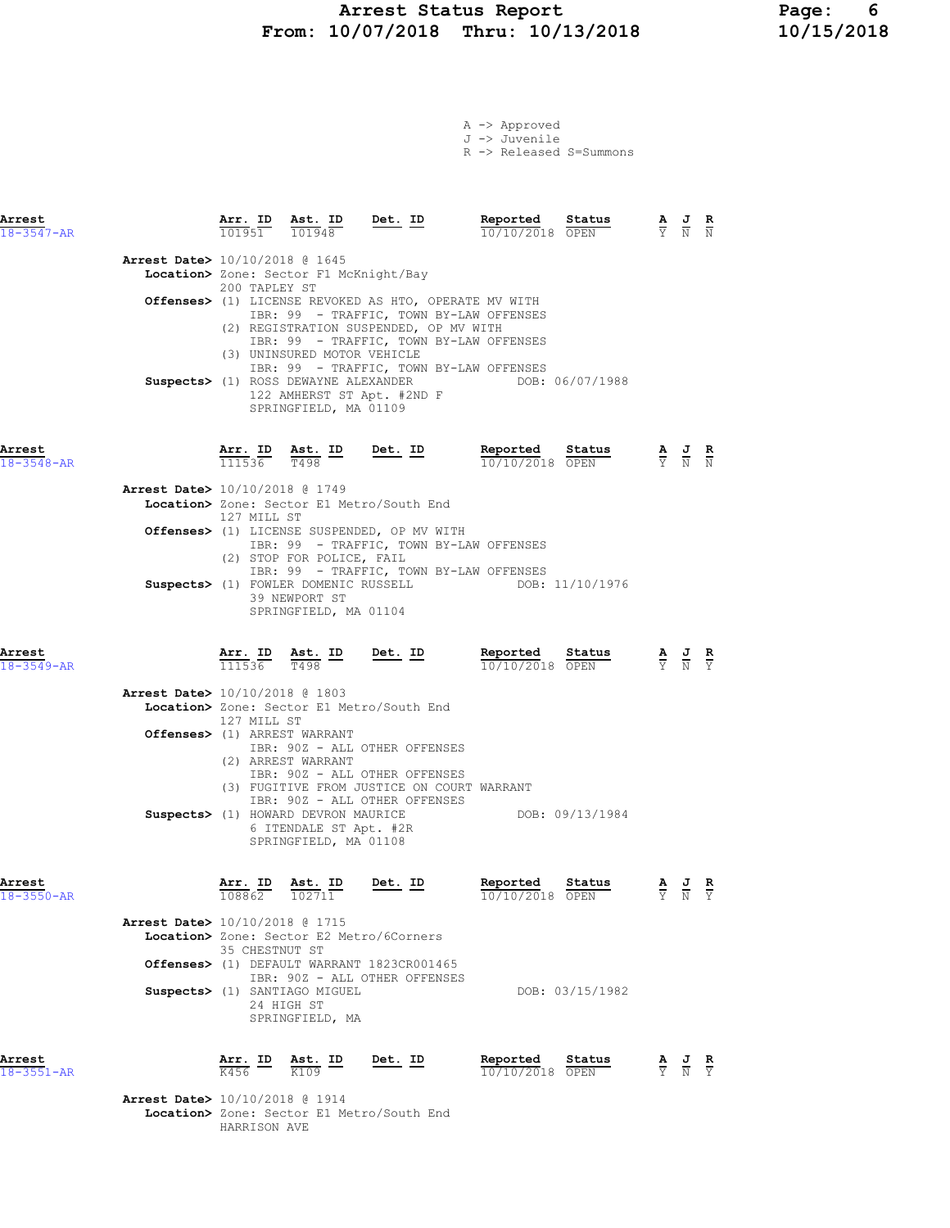# Arrest Status Report Page: 6 From: 10/07/2018 Thru: 10/13/2018 10/15/2018

|  | $A \rightarrow$ Approved          |  |
|--|-----------------------------------|--|
|  | J -> Juvenile                     |  |
|  | $R \rightarrow R$ alassad S=Summe |  |

|  | R -> Released S=Summons |  |
|--|-------------------------|--|
|  |                         |  |

| Arrest<br>$18 - 3547 - AR$ |                                          | Arr. ID<br>101951                                  | Ast. ID<br>101948                                                                                     | Det. ID                                                                                                                                                                                                                                                                                                | Reported<br>10/10/2018 OPEN                             | Status          | A<br>Y N                                                                                        | U                                                                                                     | R<br>$\overline{N}$ |
|----------------------------|------------------------------------------|----------------------------------------------------|-------------------------------------------------------------------------------------------------------|--------------------------------------------------------------------------------------------------------------------------------------------------------------------------------------------------------------------------------------------------------------------------------------------------------|---------------------------------------------------------|-----------------|-------------------------------------------------------------------------------------------------|-------------------------------------------------------------------------------------------------------|---------------------|
|                            | <b>Arrest Date&gt;</b> 10/10/2018 @ 1645 | 200 TAPLEY ST                                      | Location> Zone: Sector F1 McKnight/Bay<br>(3) UNINSURED MOTOR VEHICLE<br>SPRINGFIELD, MA 01109        | Offenses> (1) LICENSE REVOKED AS HTO, OPERATE MV WITH<br>IBR: 99 - TRAFFIC, TOWN BY-LAW OFFENSES<br>(2) REGISTRATION SUSPENDED, OP MV WITH<br>IBR: 99 - TRAFFIC, TOWN BY-LAW OFFENSES<br>IBR: 99 - TRAFFIC, TOWN BY-LAW OFFENSES<br>Suspects> (1) ROSS DEWAYNE ALEXANDER<br>122 AMHERST ST Apt. #2ND F |                                                         | DOB: 06/07/1988 |                                                                                                 |                                                                                                       |                     |
| Arrest<br>$18 - 3548 - AR$ |                                          |                                                    | $\frac{\texttt{Arr. ID}}{111536}$ $\frac{\texttt{ Ast. ID}}{T498}$ $\frac{\texttt{Det. ID}}{T498}$    |                                                                                                                                                                                                                                                                                                        | Reported<br>$10/10/2018$ OPEN                           | Status          | $\frac{\mathbf{A}}{\mathrm{Y}}$ $\frac{\mathbf{J}}{\mathrm{N}}$ $\frac{\mathbf{R}}{\mathrm{N}}$ |                                                                                                       |                     |
|                            | Arrest Date> 10/10/2018 @ 1749           | 127 MILL ST                                        |                                                                                                       | Location> Zone: Sector E1 Metro/South End<br>Offenses> (1) LICENSE SUSPENDED, OP MV WITH<br>IBR: 99 - TRAFFIC, TOWN BY-LAW OFFENSES                                                                                                                                                                    |                                                         |                 |                                                                                                 |                                                                                                       |                     |
|                            |                                          |                                                    | (2) STOP FOR POLICE, FAIL<br>39 NEWPORT ST<br>SPRINGFIELD, MA 01104                                   | IBR: 99 - TRAFFIC, TOWN BY-LAW OFFENSES<br>Suspects> (1) FOWLER DOMENIC RUSSELL                                                                                                                                                                                                                        |                                                         | DOB: 11/10/1976 |                                                                                                 |                                                                                                       |                     |
| Arrest<br>$18 - 3549 - AR$ |                                          |                                                    | $\frac{\texttt{Arr. ID}}{111536}$ $\frac{\texttt{ Ast. ID}}{T498}$ $\frac{\texttt{Det. ID}}{T498}$    |                                                                                                                                                                                                                                                                                                        | Reported<br>10/10/2018 OPEN                             | Status          |                                                                                                 | $\frac{\mathbf{A}}{\overline{Y}}$ $\frac{\mathbf{J}}{\overline{N}}$ $\frac{\mathbf{R}}{\overline{Y}}$ |                     |
|                            | Arrest Date> 10/10/2018 @ 1803           | 127 MILL ST                                        | Offenses> (1) ARREST WARRANT<br>(2) ARREST WARRANT<br>6 ITENDALE ST Apt. #2R<br>SPRINGFIELD, MA 01108 | Location> Zone: Sector E1 Metro/South End<br>IBR: 90Z - ALL OTHER OFFENSES<br>IBR: 90Z - ALL OTHER OFFENSES<br>(3) FUGITIVE FROM JUSTICE ON COURT WARRANT<br>IBR: 90Z - ALL OTHER OFFENSES                                                                                                             | Suspects> (1) HOWARD DEVRON MAURICE THE DOB: 09/13/1984 |                 |                                                                                                 |                                                                                                       |                     |
| Arrest<br>18-3550-AR       | <b>Arrest Date&gt;</b> 10/10/2018 @ 1715 | Arr. ID<br>$\overline{108862}$ $\overline{102711}$ | Ast. ID                                                                                               | <u>Det. ID</u>                                                                                                                                                                                                                                                                                         | Reported<br>10/10/2018 OPEN                             | Status          | $\frac{\mathbf{A}}{\mathbf{Y}}$ $\frac{\mathbf{J}}{\mathbf{N}}$ $\frac{\mathbf{R}}{\mathbf{Y}}$ |                                                                                                       |                     |
|                            |                                          | 35 CHESTNUT ST                                     | Suspects> (1) SANTIAGO MIGUEL<br>24 HIGH ST<br>SPRINGFIELD, MA                                        | Location> Zone: Sector E2 Metro/6Corners<br>Offenses> (1) DEFAULT WARRANT 1823CR001465<br>IBR: 90Z - ALL OTHER OFFENSES                                                                                                                                                                                |                                                         | DOB: 03/15/1982 |                                                                                                 |                                                                                                       |                     |
| Arrest<br>$18 - 3551 - AR$ |                                          | Arr. ID<br>K456                                    | Ast. ID<br>K109                                                                                       | Det. ID                                                                                                                                                                                                                                                                                                | Reported<br>10/10/2018 OPEN                             | Status          | $\frac{\mathbf{A}}{\overline{Y}}$                                                               | $\frac{J}{N}$                                                                                         |                     |
|                            | Arrest Date> 10/10/2018 @ 1914           |                                                    |                                                                                                       |                                                                                                                                                                                                                                                                                                        |                                                         |                 |                                                                                                 |                                                                                                       |                     |

Location> Zone: Sector E1 Metro/South End HARRISON AVE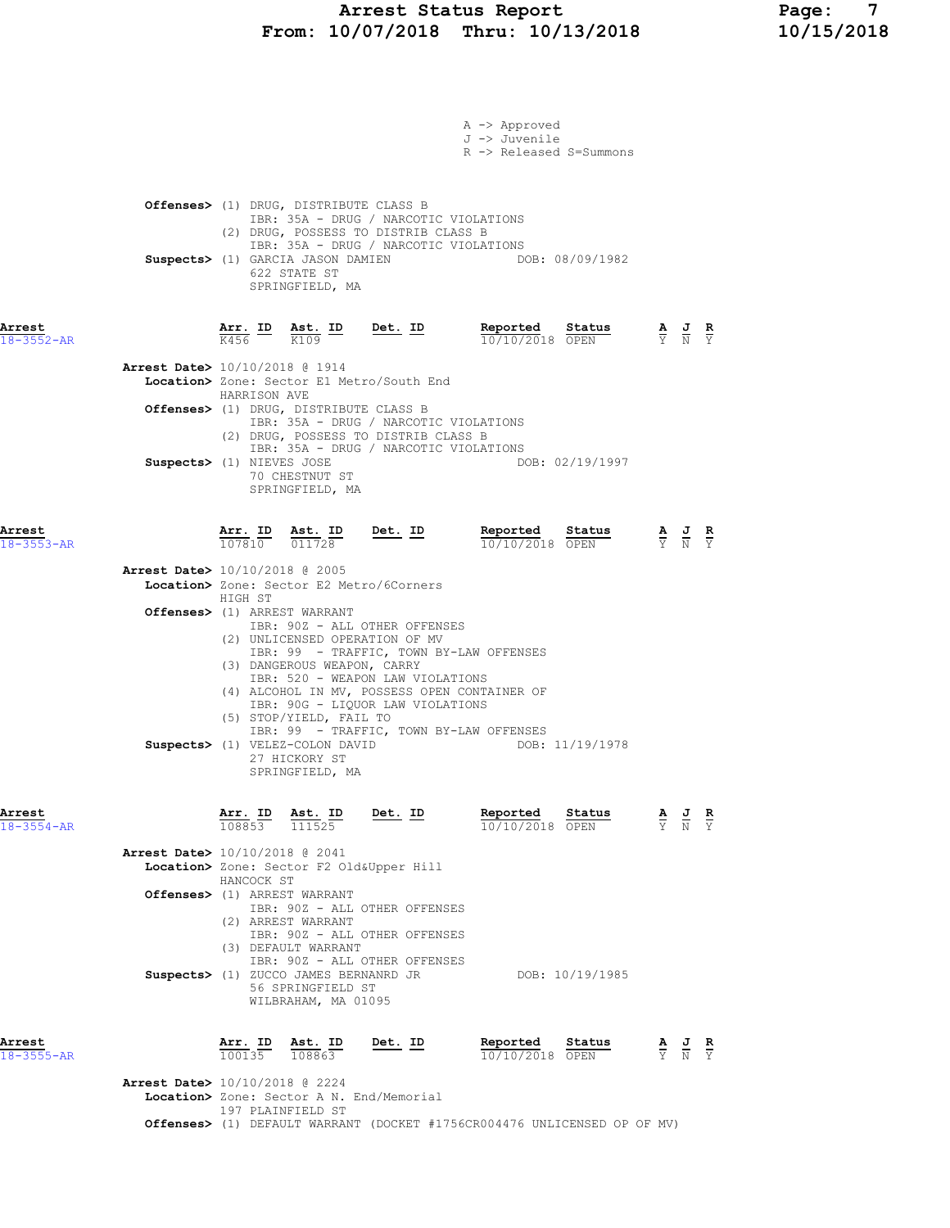# Arrest Status Report Page: 7 From: 10/07/2018 Thru: 10/13/2018 10/15/2018

|                            |                                          |                   |                                                                                                                          |                                                                                                                                                                                                                                            | A -> Approved<br>J -> Juvenile<br>R -> Released S=Summons |                 |                                                                                                 |                                                                                                       |  |
|----------------------------|------------------------------------------|-------------------|--------------------------------------------------------------------------------------------------------------------------|--------------------------------------------------------------------------------------------------------------------------------------------------------------------------------------------------------------------------------------------|-----------------------------------------------------------|-----------------|-------------------------------------------------------------------------------------------------|-------------------------------------------------------------------------------------------------------|--|
|                            |                                          |                   | <b>Offenses&gt;</b> (1) DRUG, DISTRIBUTE CLASS B<br>Suspects> (1) GARCIA JASON DAMIEN<br>622 STATE ST<br>SPRINGFIELD, MA | IBR: 35A - DRUG / NARCOTIC VIOLATIONS<br>(2) DRUG, POSSESS TO DISTRIB CLASS B<br>IBR: 35A - DRUG / NARCOTIC VIOLATIONS                                                                                                                     |                                                           | DOB: 08/09/1982 |                                                                                                 |                                                                                                       |  |
| Arrest<br>$18 - 3552 - AR$ |                                          | $\overline{K456}$ | K109                                                                                                                     | Arr. ID Ast. ID Det. ID                                                                                                                                                                                                                    | Reported Status<br>10/10/2018 OPEN                        |                 |                                                                                                 | $\frac{\mathbf{A}}{\mathbf{Y}}$ $\frac{\mathbf{J}}{\mathbf{N}}$ $\frac{\mathbf{R}}{\mathbf{Y}}$       |  |
|                            | Arrest Date> 10/10/2018 @ 1914           | HARRISON AVE      | Offenses> (1) DRUG, DISTRIBUTE CLASS B                                                                                   | Location> Zone: Sector E1 Metro/South End<br>IBR: 35A - DRUG / NARCOTIC VIOLATIONS<br>(2) DRUG, POSSESS TO DISTRIB CLASS B                                                                                                                 |                                                           |                 |                                                                                                 |                                                                                                       |  |
|                            | Suspects> (1) NIEVES JOSE                |                   | 70 CHESTNUT ST<br>SPRINGFIELD, MA                                                                                        | IBR: 35A - DRUG / NARCOTIC VIOLATIONS                                                                                                                                                                                                      |                                                           | DOB: 02/19/1997 |                                                                                                 |                                                                                                       |  |
| Arrest<br>$18 - 3553 - AR$ |                                          |                   | $\frac{\texttt{Arr.}}{107810}$ $\frac{\texttt{ Ast.}}{011728}$                                                           | <u>Det. ID</u>                                                                                                                                                                                                                             | Reported Status<br>10/10/2018 OPEN                        |                 |                                                                                                 | $\frac{\mathbf{A}}{\overline{Y}}$ $\frac{\mathbf{J}}{\overline{N}}$ $\frac{\mathbf{R}}{\overline{Y}}$ |  |
|                            | <b>Arrest Date&gt;</b> 10/10/2018 @ 2005 | HIGH ST           | Offenses> (1) ARREST WARRANT<br>(3) DANGEROUS WEAPON, CARRY                                                              | Location> Zone: Sector E2 Metro/6Corners<br>IBR: 90Z - ALL OTHER OFFENSES<br>(2) UNLICENSED OPERATION OF MV<br>IBR: 99 - TRAFFIC, TOWN BY-LAW OFFENSES<br>IBR: 520 - WEAPON LAW VIOLATIONS<br>(4) ALCOHOL IN MV, POSSESS OPEN CONTAINER OF |                                                           |                 |                                                                                                 |                                                                                                       |  |
|                            |                                          |                   | (5) STOP/YIELD, FAIL TO<br>Suspects> (1) VELEZ-COLON DAVID<br>27 HICKORY ST<br>SPRINGFIELD, MA                           | IBR: 90G - LIQUOR LAW VIOLATIONS<br>IBR: 99 - TRAFFIC, TOWN BY-LAW OFFENSES                                                                                                                                                                |                                                           | DOB: 11/19/1978 |                                                                                                 |                                                                                                       |  |
| Arrest<br>$18 - 3554 - AR$ |                                          | 108853 111525     | Arr. ID Ast. ID Det. ID                                                                                                  |                                                                                                                                                                                                                                            | Reported Status<br>10/10/2018 OPEN                        |                 |                                                                                                 | $\frac{\mathbf{A}}{\mathbf{Y}}$ $\frac{\mathbf{J}}{\mathbf{N}}$ $\frac{\mathbf{R}}{\mathbf{Y}}$       |  |
|                            | <b>Arrest Date&gt;</b> 10/10/2018 @ 2041 | HANCOCK ST        | Offenses> (1) ARREST WARRANT<br>(2) ARREST WARRANT<br>(3) DEFAULT WARRANT                                                | Location> Zone: Sector F2 Old&Upper Hill<br>IBR: 90Z - ALL OTHER OFFENSES<br>IBR: 90Z - ALL OTHER OFFENSES                                                                                                                                 |                                                           |                 |                                                                                                 |                                                                                                       |  |
|                            |                                          |                   | 56 SPRINGFIELD ST<br>WILBRAHAM, MA 01095                                                                                 | IBR: 90Z - ALL OTHER OFFENSES<br>Suspects> (1) ZUCCO JAMES BERNANRD JR                                                                                                                                                                     | DOB: 10/19/1985                                           |                 |                                                                                                 |                                                                                                       |  |
| Arrest<br>$18 - 3555 - AR$ |                                          |                   | $\frac{\text{Arr.}}{100135}$ $\frac{\text{Ast.}}{108863}$                                                                | <u>Det. ID</u>                                                                                                                                                                                                                             | Reported<br>10/10/2018 OPEN                               | <b>Status</b>   | $\frac{\mathbf{A}}{\mathbf{Y}}$ $\frac{\mathbf{J}}{\mathbf{N}}$ $\frac{\mathbf{R}}{\mathbf{Y}}$ |                                                                                                       |  |
|                            | Arrest Date> 10/10/2018 @ 2224           |                   | 197 PLAINFIELD ST                                                                                                        | Location> Zone: Sector A N. End/Memorial<br><b>Offenses&gt;</b> (1) DEFAULT WARRANT (DOCKET #1756CR004476 UNLICENSED OP OF MV)                                                                                                             |                                                           |                 |                                                                                                 |                                                                                                       |  |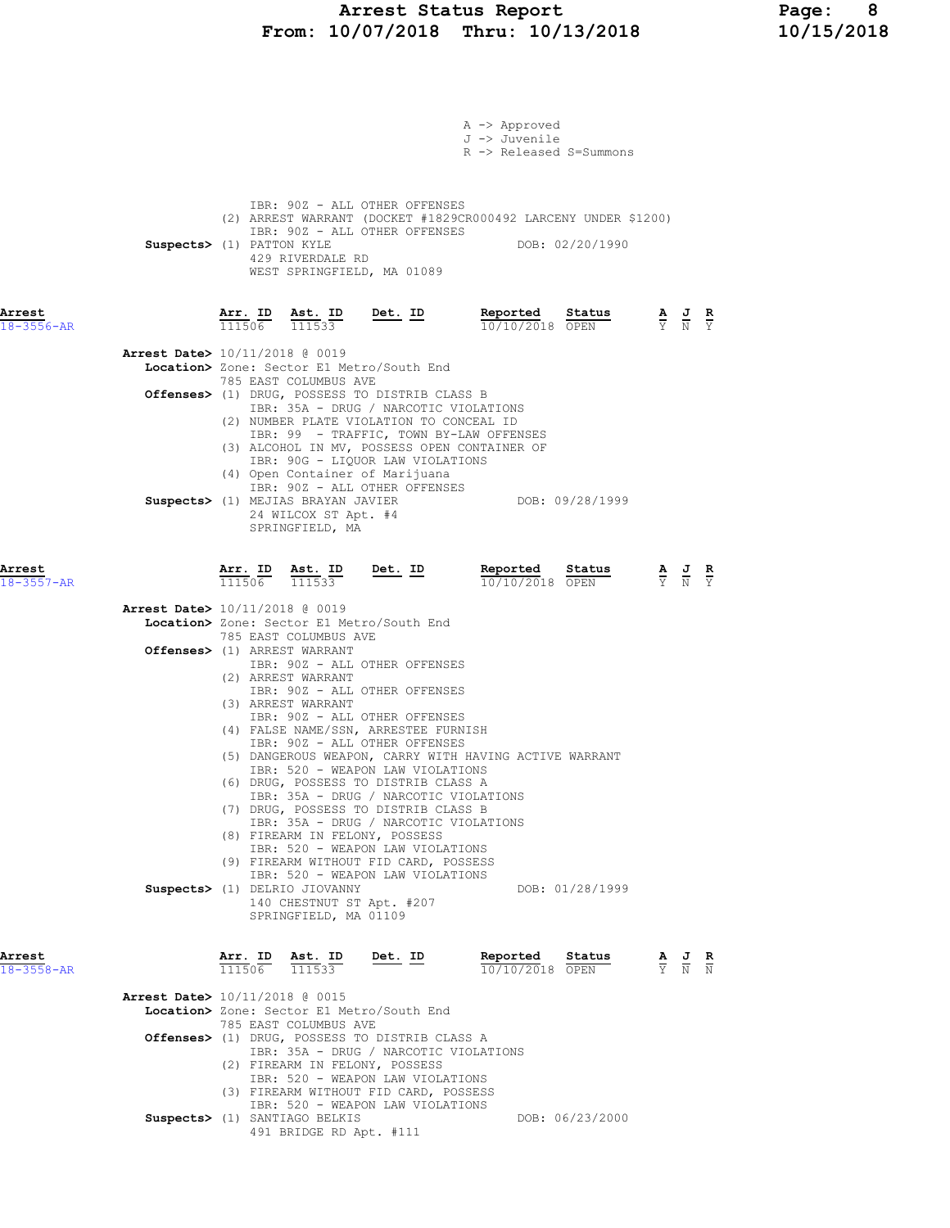# Arrest Status Report Page: 8 From: 10/07/2018 Thru: 10/13/2018 10/15/2018

|                            |                                                                                                                                                                                                                     | A -> Approved<br>J -> Juvenile<br>R -> Released S=Summons                                                                                |
|----------------------------|---------------------------------------------------------------------------------------------------------------------------------------------------------------------------------------------------------------------|------------------------------------------------------------------------------------------------------------------------------------------|
|                            | IBR: 90Z - ALL OTHER OFFENSES<br>(2) ARREST WARRANT (DOCKET #1829CR000492 LARCENY UNDER \$1200)<br>IBR: 90Z - ALL OTHER OFFENSES<br>Suspects> (1) PATTON KYLE<br>429 RIVERDALE RD<br>WEST SPRINGFIELD, MA 01089     | DOB: 02/20/1990                                                                                                                          |
| Arrest<br>$18 - 3556 - AR$ | $\frac{\texttt{Arr. ID}}{111506}$ $\frac{\texttt{ Ast. ID}}{111533}$ Det. ID                                                                                                                                        | Reported Status<br>$\frac{\mathbf{A}}{\mathbf{Y}}$ $\frac{\mathbf{J}}{\mathbf{N}}$ $\frac{\mathbf{R}}{\mathbf{Y}}$<br>10/10/2018 OPEN    |
|                            | Arrest Date> 10/11/2018 @ 0019<br>Location> Zone: Sector E1 Metro/South End                                                                                                                                         |                                                                                                                                          |
|                            | 785 EAST COLUMBUS AVE<br>Offenses> (1) DRUG, POSSESS TO DISTRIB CLASS B<br>IBR: 35A - DRUG / NARCOTIC VIOLATIONS                                                                                                    |                                                                                                                                          |
|                            | (2) NUMBER PLATE VIOLATION TO CONCEAL ID<br>IBR: 99 - TRAFFIC, TOWN BY-LAW OFFENSES<br>(3) ALCOHOL IN MV, POSSESS OPEN CONTAINER OF<br>IBR: 90G - LIQUOR LAW VIOLATIONS<br>(4) Open Container of Marijuana          |                                                                                                                                          |
|                            | IBR: 90Z - ALL OTHER OFFENSES<br>Suspects> (1) MEJIAS BRAYAN JAVIER<br>24 WILCOX ST Apt. #4<br>SPRINGFIELD, MA                                                                                                      | DOB: 09/28/1999                                                                                                                          |
| Arrest<br>$18 - 3557 - AR$ | $\frac{\texttt{Arr.}}{111506}$ $\frac{\texttt{ Ast.}}{111533}$ Det. ID                                                                                                                                              | Reported<br>Status<br>$\frac{\mathbf{A}}{\mathbf{Y}}$ $\frac{\mathbf{J}}{\mathbf{N}}$ $\frac{\mathbf{R}}{\mathbf{Y}}$<br>10/10/2018 OPEN |
|                            | Arrest Date> 10/11/2018 @ 0019<br>Location> Zone: Sector E1 Metro/South End<br>785 EAST COLUMBUS AVE<br>Offenses> (1) ARREST WARRANT<br>IBR: 90Z - ALL OTHER OFFENSES<br>(2) ARREST WARRANT                         |                                                                                                                                          |
|                            | IBR: 90Z - ALL OTHER OFFENSES<br>(3) ARREST WARRANT<br>IBR: 90Z - ALL OTHER OFFENSES<br>(4) FALSE NAME/SSN, ARRESTEE FURNISH<br>IBR: 90Z - ALL OTHER OFFENSES                                                       |                                                                                                                                          |
|                            | (5) DANGEROUS WEAPON, CARRY WITH HAVING ACTIVE WARRANT<br>IBR: 520 - WEAPON LAW VIOLATIONS<br>(6) DRUG, POSSESS TO DISTRIB CLASS A<br>IBR: 35A - DRUG / NARCOTIC VIOLATIONS<br>(7) DRUG, POSSESS TO DISTRIB CLASS B |                                                                                                                                          |
|                            | IBR: 35A - DRUG / NARCOTIC VIOLATIONS<br>(8) FIREARM IN FELONY, POSSESS<br>IBR: 520 - WEAPON LAW VIOLATIONS<br>(9) FIREARM WITHOUT FID CARD, POSSESS                                                                |                                                                                                                                          |
|                            | IBR: 520 - WEAPON LAW VIOLATIONS<br>Suspects> (1) DELRIO JIOVANNY<br>140 CHESTNUT ST Apt. #207<br>SPRINGFIELD, MA 01109                                                                                             | DOB: 01/28/1999                                                                                                                          |
| Arrest<br>18-3558-AR       | Arr. ID<br>$\frac{\text{Ast.}}{111533}$<br><u>Det. ID</u><br>111506                                                                                                                                                 | Reported<br>Status<br>$\frac{\mathbf{A}}{\mathbf{Y}}$ $\frac{\mathbf{J}}{\mathbf{N}}$ $\frac{\mathbf{R}}{\mathbf{N}}$<br>10/10/2018 OPEN |
|                            | <b>Arrest Date&gt;</b> 10/11/2018 @ 0015<br>Location> Zone: Sector E1 Metro/South End                                                                                                                               |                                                                                                                                          |
|                            | 785 EAST COLUMBUS AVE<br>Offenses> (1) DRUG, POSSESS TO DISTRIB CLASS A<br>IBR: 35A - DRUG / NARCOTIC VIOLATIONS                                                                                                    |                                                                                                                                          |
|                            | (2) FIREARM IN FELONY, POSSESS<br>IBR: 520 - WEAPON LAW VIOLATIONS<br>(3) FIREARM WITHOUT FID CARD, POSSESS<br>IBR: 520 - WEAPON LAW VIOLATIONS                                                                     |                                                                                                                                          |
|                            | Suspects> (1) SANTIAGO BELKIS<br>491 BRIDGE RD Apt. #111                                                                                                                                                            | DOB: 06/23/2000                                                                                                                          |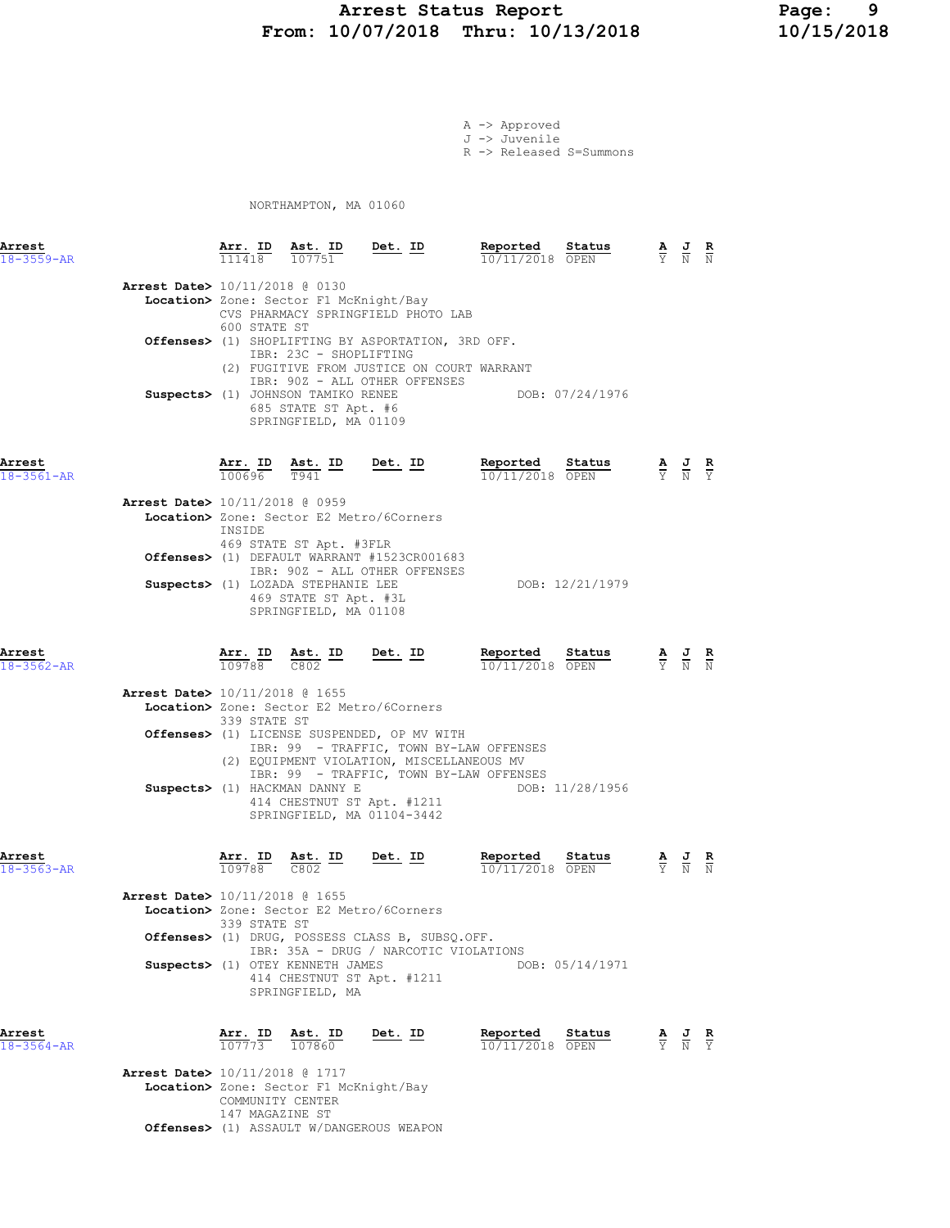# Arrest Status Report 10/13/2018 Page: 9<br>10/07/2018 Thru: 10/13/2018 10/15/2018 From: 10/07/2018 Thru: 10/13/2018

A -> Approved J -> Juvenile R -> Released S=Summons

NORTHAMPTON, MA 01060

| Arrest<br>$18 - 3559 - AR$ |                                          | Arr. ID<br>111418                                            | Ast. ID<br>107751                                                                                                                                       | Det. ID                                                                                                                                                                                                                                                                                | Reported<br>$10/11/2018$ OPEN | Status          | $\frac{\mathbf{A}}{\mathbf{Y}}$ $\frac{\mathbf{J}}{\mathbf{N}}$                                 | $\frac{R}{N}$ |
|----------------------------|------------------------------------------|--------------------------------------------------------------|---------------------------------------------------------------------------------------------------------------------------------------------------------|----------------------------------------------------------------------------------------------------------------------------------------------------------------------------------------------------------------------------------------------------------------------------------------|-------------------------------|-----------------|-------------------------------------------------------------------------------------------------|---------------|
|                            | Arrest Date> 10/11/2018 @ 0130           | 600 STATE ST                                                 | Location> Zone: Sector F1 McKnight/Bay<br>IBR: 23C - SHOPLIFTING<br>Suspects> (1) JOHNSON TAMIKO RENEE<br>685 STATE ST Apt. #6<br>SPRINGFIELD, MA 01109 | CVS PHARMACY SPRINGFIELD PHOTO LAB<br>Offenses> (1) SHOPLIFTING BY ASPORTATION, 3RD OFF.<br>(2) FUGITIVE FROM JUSTICE ON COURT WARRANT<br>IBR: 90Z - ALL OTHER OFFENSES                                                                                                                |                               | DOB: 07/24/1976 |                                                                                                 |               |
| Arrest<br>$18 - 3561 - AR$ |                                          | $\frac{\texttt{Arr.}}{100696}$ $\frac{\texttt{ Ast.}}{1941}$ | $\frac{\texttt{Ast.}}{\texttt{T941}}$ ID                                                                                                                | $Det. ID$                                                                                                                                                                                                                                                                              | Reported<br>10/11/2018 OPEN   | Status          | $\frac{\mathbf{A}}{\mathbf{Y}}$ $\frac{\mathbf{J}}{\mathbf{N}}$ $\frac{\mathbf{R}}{\mathbf{Y}}$ |               |
|                            | Arrest Date> 10/11/2018 @ 0959           | INSIDE                                                       | 469 STATE ST Apt. #3FLR                                                                                                                                 | Location> Zone: Sector E2 Metro/6Corners                                                                                                                                                                                                                                               |                               |                 |                                                                                                 |               |
|                            |                                          |                                                              | Suspects> (1) LOZADA STEPHANIE LEE<br>469 STATE ST Apt. #3L<br>SPRINGFIELD, MA 01108                                                                    | Offenses> (1) DEFAULT WARRANT #1523CR001683<br>IBR: 90Z - ALL OTHER OFFENSES                                                                                                                                                                                                           |                               | DOB: 12/21/1979 |                                                                                                 |               |
| Arrest<br>18-3562-AR       |                                          | Arr. ID<br>109788                                            | $Ast.$ ID<br>C802                                                                                                                                       | $Det. ID$                                                                                                                                                                                                                                                                              | Reported<br>10/11/2018 OPEN   | Status          | $\frac{\mathbf{A}}{\mathbf{Y}}$ $\frac{\mathbf{J}}{\mathbf{N}}$                                 |               |
|                            | <b>Arrest Date&gt;</b> 10/11/2018 @ 1655 | 339 STATE ST                                                 | Suspects> (1) HACKMAN DANNY E                                                                                                                           | Location> Zone: Sector E2 Metro/6Corners<br>Offenses> (1) LICENSE SUSPENDED, OP MV WITH<br>IBR: 99 - TRAFFIC, TOWN BY-LAW OFFENSES<br>(2) EQUIPMENT VIOLATION, MISCELLANEOUS MV<br>IBR: 99 - TRAFFIC, TOWN BY-LAW OFFENSES<br>414 CHESTNUT ST Apt. #1211<br>SPRINGFIELD, MA 01104-3442 |                               | DOB: 11/28/1956 |                                                                                                 |               |
| Arrest<br>$18 - 3563 - AR$ | <b>Arrest Date&gt;</b> 10/11/2018 @ 1655 | 109788 C802<br>339 STATE ST                                  | Arr. ID Ast. ID                                                                                                                                         | Det. ID<br>Location> Zone: Sector E2 Metro/6Corners<br>Offenses> (1) DRUG, POSSESS CLASS B, SUBSQ.OFF.                                                                                                                                                                                 | Reported<br>10/11/2018 OPEN   | Status          |                                                                                                 | к             |
|                            |                                          |                                                              | Suspects> (1) OTEY KENNETH JAMES<br>SPRINGFIELD, MA                                                                                                     | IBR: 35A - DRUG / NARCOTIC VIOLATIONS<br>414 CHESTNUT ST Apt. #1211                                                                                                                                                                                                                    |                               | DOB: 05/14/1971 |                                                                                                 |               |
| Arrest<br>$18 - 3564 - AR$ | <b>Arrest Date&gt;</b> 10/11/2018 @ 1717 |                                                              | $\frac{\texttt{Arr.}}{107773}$ $\frac{\texttt{I}}{107860}$                                                                                              | Det. ID                                                                                                                                                                                                                                                                                | Reported<br>10/11/2018 OPEN   | Status          | $\frac{\mathbf{A}}{\mathbf{Y}}$ $\frac{\mathbf{J}}{\mathbf{N}}$                                 | $\frac{R}{Y}$ |
|                            |                                          |                                                              | $Toantion \ X. 7000 : 800ton \ F1. MAVniabt /Box$                                                                                                       |                                                                                                                                                                                                                                                                                        |                               |                 |                                                                                                 |               |

 Location> Zone: Sector F1 McKnight/Bay COMMUNITY CENTER 147 MAGAZINE ST Offenses> (1) ASSAULT W/DANGEROUS WEAPON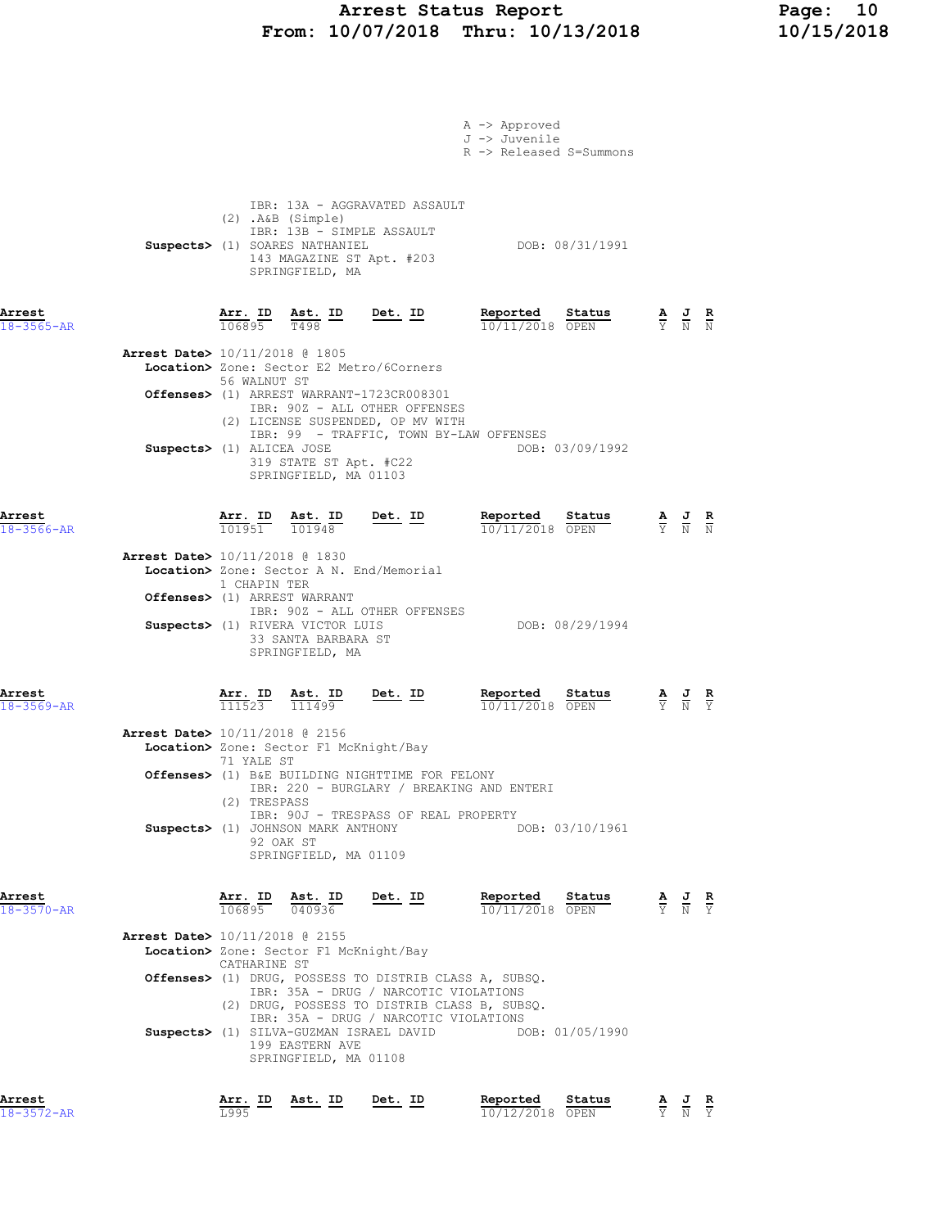# Arrest Status Report Page: 10 From: 10/07/2018 Thru: 10/13/2018 10/15/2018

|                                          |                                |                                                                                                                                       |                                                                                                                 | A -> Approved<br>J -> Juvenile<br>R -> Released S=Summons  |                                                                                                 |                               |
|------------------------------------------|--------------------------------|---------------------------------------------------------------------------------------------------------------------------------------|-----------------------------------------------------------------------------------------------------------------|------------------------------------------------------------|-------------------------------------------------------------------------------------------------|-------------------------------|
|                                          |                                | $(2)$ . A&B $(Simple)$<br>IBR: 13B - SIMPLE ASSAULT<br>Suspects> (1) SOARES NATHANIEL<br>143 MAGAZINE ST Apt. #203<br>SPRINGFIELD, MA | IBR: 13A - AGGRAVATED ASSAULT                                                                                   | DOB: 08/31/1991                                            |                                                                                                 |                               |
| Arrest<br>$18 - 3565 - AR$               | $\frac{\texttt{Arr.}}{106895}$ | <u>Ast. ID</u><br>T498                                                                                                                | <u>Det. ID</u>                                                                                                  | Reported<br>Status<br>10/11/2018 OPEN                      | $\frac{\mathbf{A}}{\mathbf{Y}}$ $\frac{\mathbf{J}}{\mathbf{N}}$ $\frac{\mathbf{R}}{\mathbf{N}}$ |                               |
| <b>Arrest Date&gt;</b> 10/11/2018 @ 1805 | 56 WALNUT ST                   |                                                                                                                                       | Location> Zone: Sector E2 Metro/6Corners                                                                        |                                                            |                                                                                                 |                               |
|                                          |                                |                                                                                                                                       | Offenses> (1) ARREST WARRANT-1723CR008301<br>IBR: 90Z - ALL OTHER OFFENSES<br>(2) LICENSE SUSPENDED, OP MV WITH |                                                            |                                                                                                 |                               |
|                                          | Suspects> (1) ALICEA JOSE      | 319 STATE ST Apt. #C22<br>SPRINGFIELD, MA 01103                                                                                       |                                                                                                                 | IBR: 99 - TRAFFIC, TOWN BY-LAW OFFENSES<br>DOB: 03/09/1992 |                                                                                                 |                               |
| Arrest<br>$18 - 3566 - AR$               |                                | $\frac{\texttt{Arr.}}{101951}$ $\frac{\texttt{ Ast.}}{101948}$                                                                        | Det. ID                                                                                                         | Reported<br>Status<br>$10/11/2018$ OPEN                    | $\frac{\mathbf{A}}{\mathbf{Y}}$ $\frac{\mathbf{J}}{\mathbf{N}}$ $\frac{\mathbf{R}}{\mathbf{N}}$ |                               |
| <b>Arrest Date&gt;</b> 10/11/2018 @ 1830 | 1 CHAPIN TER                   | Offenses> (1) ARREST WARRANT                                                                                                          | Location> Zone: Sector A N. End/Memorial                                                                        |                                                            |                                                                                                 |                               |
|                                          |                                | Suspects> (1) RIVERA VICTOR LUIS<br>33 SANTA BARBARA ST<br>SPRINGFIELD, MA                                                            | IBR: 90Z - ALL OTHER OFFENSES                                                                                   | DOB: 08/29/1994                                            |                                                                                                 |                               |
| Arrest<br>$18 - 3569 - AR$               |                                | $\frac{\text{Arr.}}{111523}$ $\frac{\text{Ast.}}{111499}$                                                                             | $Det. ID$                                                                                                       | Reported<br>Status<br>10/11/2018 OPEN                      |                                                                                                 |                               |
| Arrest Date> 10/11/2018 @ 2156           | 71 YALE ST                     | Location> Zone: Sector F1 McKnight/Bay                                                                                                |                                                                                                                 |                                                            |                                                                                                 |                               |
|                                          | (2) TRESPASS                   |                                                                                                                                       | Offenses> (1) B&E BUILDING NIGHTTIME FOR FELONY                                                                 | IBR: 220 - BURGLARY / BREAKING AND ENTERI                  |                                                                                                 |                               |
|                                          |                                | Suspects> (1) JOHNSON MARK ANTHONY<br>92 OAK ST<br>SPRINGFIELD, MA 01109                                                              | IBR: 90J - TRESPASS OF REAL PROPERTY                                                                            | DOB: 03/10/1961                                            |                                                                                                 |                               |
| Arrest<br>18-3570-AR                     |                                | $\frac{\texttt{Arr. ID}}{106895}$ $\frac{\texttt{ Ast. ID}}{040936}$                                                                  | Det. ID                                                                                                         | Reported<br>Status<br>10/11/2018 OPEN                      | $\frac{\mathbf{A}}{\mathbf{Y}}$ $\frac{\mathbf{J}}{\mathbf{N}}$                                 | $rac{\mathbf{R}}{\mathbf{Y}}$ |
| Arrest Date> 10/11/2018 @ 2155           |                                | Location> Zone: Sector F1 McKnight/Bay                                                                                                |                                                                                                                 |                                                            |                                                                                                 |                               |
|                                          | CATHARINE ST                   |                                                                                                                                       |                                                                                                                 | Offenses> (1) DRUG, POSSESS TO DISTRIB CLASS A, SUBSQ.     |                                                                                                 |                               |
|                                          |                                |                                                                                                                                       | IBR: 35A - DRUG / NARCOTIC VIOLATIONS<br>IBR: 35A - DRUG / NARCOTIC VIOLATIONS                                  | (2) DRUG, POSSESS TO DISTRIB CLASS B, SUBSQ.               |                                                                                                 |                               |
|                                          |                                | 199 EASTERN AVE<br>SPRINGFIELD, MA 01108                                                                                              |                                                                                                                 | Suspects> (1) SILVA-GUZMAN ISRAEL DAVID DOB: 01/05/1990    |                                                                                                 |                               |
| Arrest<br>572-AR                         | <u>Arr. ID</u><br>T.995        | <u>Ast. ID</u>                                                                                                                        | Det. ID                                                                                                         | Reported<br>Status<br>10/12/2018 OPEN                      | $\frac{\mathbf{A}}{\mathbf{Y}}$ $\frac{\mathbf{J}}{\mathbf{N}}$ $\frac{\mathbf{R}}{\mathbf{Y}}$ |                               |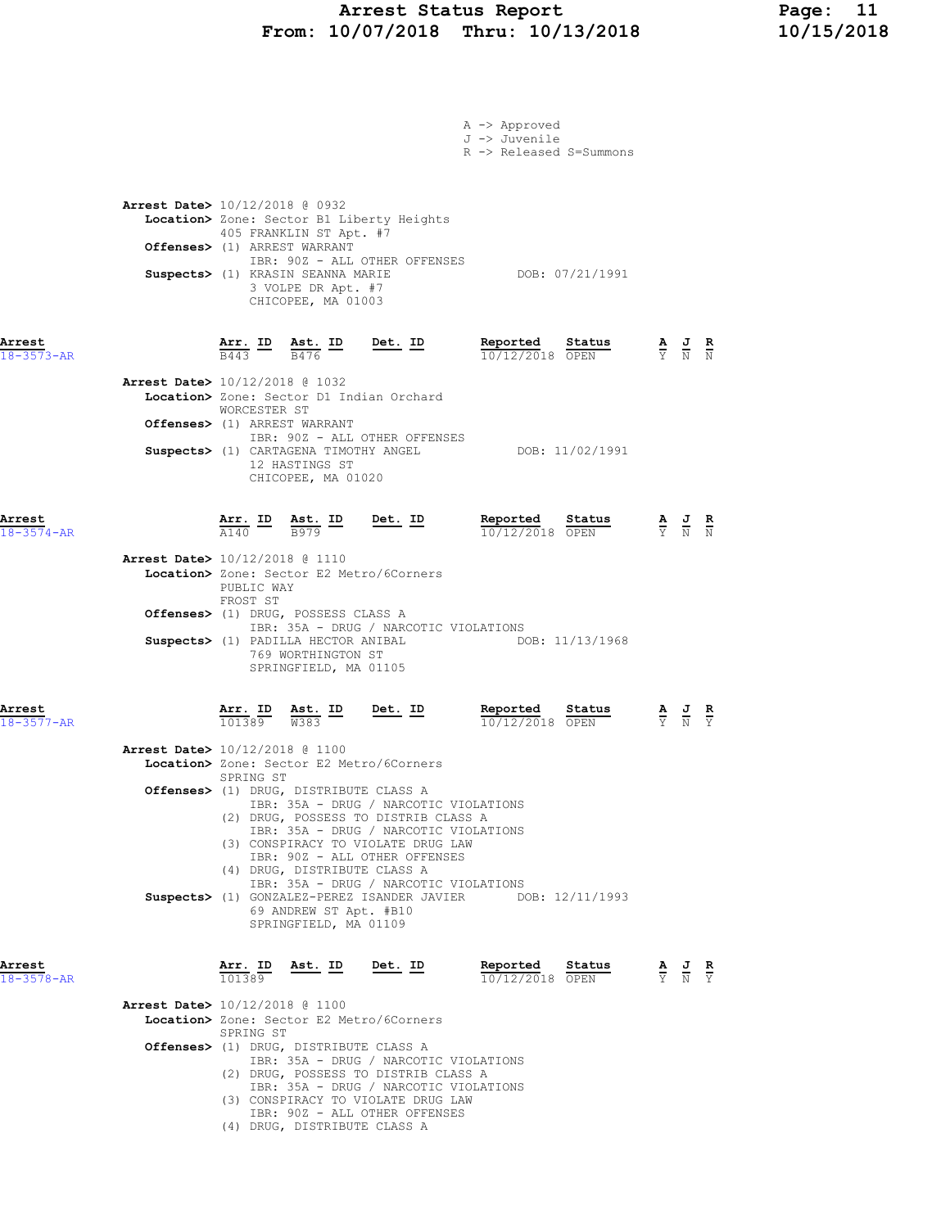# Arrest Status Report Page: 11 From: 10/07/2018 Thru: 10/13/2018 10/15/2018

|                            |                                                                                                                                                                                      |                                                                                                                                                                                                                                                                                                              | A -> Approved<br>J -> Juvenile<br>R -> Released S=Summons   |                                                                                                 |
|----------------------------|--------------------------------------------------------------------------------------------------------------------------------------------------------------------------------------|--------------------------------------------------------------------------------------------------------------------------------------------------------------------------------------------------------------------------------------------------------------------------------------------------------------|-------------------------------------------------------------|-------------------------------------------------------------------------------------------------|
|                            | <b>Arrest Date&gt;</b> 10/12/2018 @ 0932<br>405 FRANKLIN ST Apt. #7<br>Offenses> (1) ARREST WARRANT<br>Suspects> (1) KRASIN SEANNA MARIE<br>3 VOLPE DR Apt. #7<br>CHICOPEE, MA 01003 | Location> Zone: Sector B1 Liberty Heights<br>IBR: 90Z - ALL OTHER OFFENSES                                                                                                                                                                                                                                   | DOB: 07/21/1991                                             |                                                                                                 |
| Arrest<br>$18 - 3573 - AR$ | Arrest Date> 10/12/2018 @ 1032<br>WORCESTER ST                                                                                                                                       | $\frac{\texttt{Arr.}}{\texttt{B443}}$ ID $\frac{\texttt{Ast.}}{\texttt{B476}}$ ID Det. ID<br>Location> Zone: Sector D1 Indian Orchard                                                                                                                                                                        |                                                             |                                                                                                 |
|                            | Offenses> (1) ARREST WARRANT<br>Suspects> (1) CARTAGENA TIMOTHY ANGEL<br>12 HASTINGS ST<br>CHICOPEE, MA 01020                                                                        | IBR: 90Z - ALL OTHER OFFENSES                                                                                                                                                                                                                                                                                | DOB: 11/02/1991                                             |                                                                                                 |
| Arrest<br>$18 - 3574 - AR$ | Arrest Date> 10/12/2018 @ 1110                                                                                                                                                       | $\frac{\texttt{Arr.}}{\text{A140}}$ ID $\frac{\texttt{Ast.}}{\text{B979}}$ ID Det. ID<br>Location> Zone: Sector E2 Metro/6Corners                                                                                                                                                                            | Reported Status<br>$\frac{10}{12/22018}$ OPEN<br>Status     | $\frac{\mathbf{A}}{\mathbf{Y}}$ $\frac{\mathbf{J}}{\mathbf{N}}$ $\frac{\mathbf{R}}{\mathbf{N}}$ |
|                            | PUBLIC WAY<br>FROST ST<br>Offenses> (1) DRUG, POSSESS CLASS A<br>769 WORTHINGTON ST<br>SPRINGFIELD, MA 01105                                                                         | IBR: 35A - DRUG / NARCOTIC VIOLATIONS                                                                                                                                                                                                                                                                        | Suspects> (1) PADILLA HECTOR ANIBAL DOB: 11/13/1968         |                                                                                                 |
| Arrest<br>$18 - 3577 - AR$ | $\frac{\text{Arr.}}{101389}$ $\frac{\text{Ast.}}{\text{W}383}$ $\frac{\text{ID}}{\text{D}}$<br><b>Arrest Date&gt;</b> 10/12/2018 @ 1100                                              | <u>Det. ID</u>                                                                                                                                                                                                                                                                                               | Reported<br>Status<br>10/12/2018 OPEN                       | $\frac{\mathbf{A}}{\mathbf{Y}}$ $\frac{\mathbf{J}}{\mathbf{N}}$ $\frac{\mathbf{R}}{\mathbf{Y}}$ |
|                            | SPRING ST<br>Offenses> (1) DRUG, DISTRIBUTE CLASS A<br>(4) DRUG, DISTRIBUTE CLASS A                                                                                                  | Location> Zone: Sector E2 Metro/6Corners<br>IBR: 35A - DRUG / NARCOTIC VIOLATIONS<br>(2) DRUG, POSSESS TO DISTRIB CLASS A<br>IBR: 35A - DRUG / NARCOTIC VIOLATIONS<br>(3) CONSPIRACY TO VIOLATE DRUG LAW<br>IBR: 90Z - ALL OTHER OFFENSES<br>IBR: 35A - DRUG / NARCOTIC VIOLATIONS<br>69 ANDREW ST Apt. #B10 | Suspects> (1) GONZALEZ-PEREZ ISANDER JAVIER DOB: 12/11/1993 |                                                                                                 |
| Arrest<br>$18 - 3578 - AR$ | SPRINGFIELD, MA 01109<br>Arr. ID<br>Ast. ID<br>101389                                                                                                                                | Det. ID                                                                                                                                                                                                                                                                                                      | Reported<br>Status<br>$10/12/2018$ OPEN                     | $\frac{\mathbf{A}}{\mathrm{Y}}$ $\frac{\mathbf{J}}{\mathrm{N}}$<br>$\frac{R}{Y}$                |
|                            | Arrest Date> 10/12/2018 @ 1100<br>SPRING ST<br><b>Offenses&gt;</b> (1) DRUG, DISTRIBUTE CLASS A<br>(4) DRUG, DISTRIBUTE CLASS A                                                      | Location> Zone: Sector E2 Metro/6Corners<br>IBR: 35A - DRUG / NARCOTIC VIOLATIONS<br>(2) DRUG, POSSESS TO DISTRIB CLASS A<br>IBR: 35A - DRUG / NARCOTIC VIOLATIONS<br>(3) CONSPIRACY TO VIOLATE DRUG LAW<br>IBR: 90Z - ALL OTHER OFFENSES                                                                    |                                                             |                                                                                                 |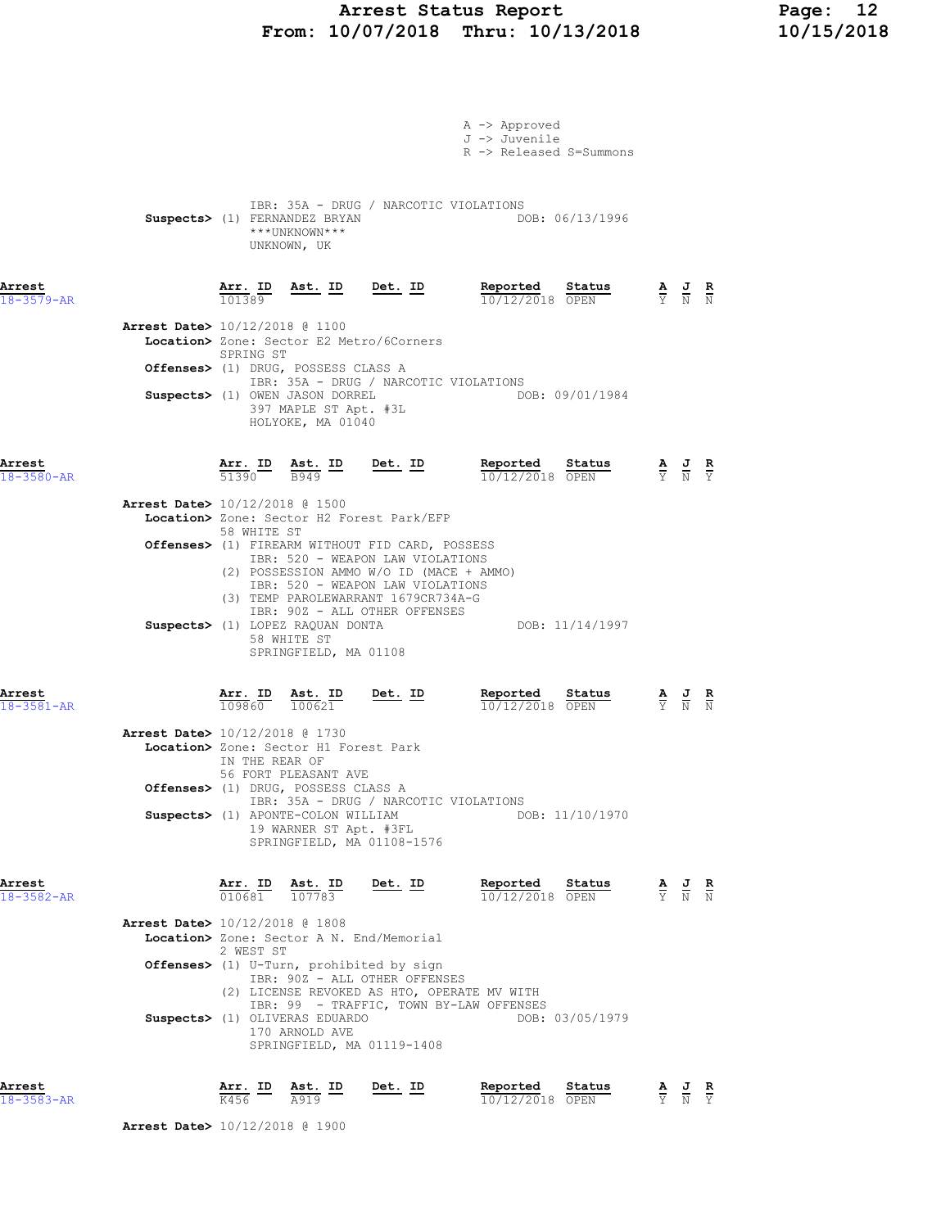# Arrest Status Report Page: 12 From: 10/07/2018 Thru: 10/13/2018 10/15/2018

|                            |                                          |                 |                                                                               |                                                                                                                                                         | A -> Approved<br>J -> Juvenile<br>R -> Released S=Summons                              |                                                                                                 |                                                                                                 |  |
|----------------------------|------------------------------------------|-----------------|-------------------------------------------------------------------------------|---------------------------------------------------------------------------------------------------------------------------------------------------------|----------------------------------------------------------------------------------------|-------------------------------------------------------------------------------------------------|-------------------------------------------------------------------------------------------------|--|
|                            |                                          |                 | Suspects> (1) FERNANDEZ BRYAN<br>***UNKNOWN***<br>UNKNOWN, UK                 | IBR: 35A - DRUG / NARCOTIC VIOLATIONS                                                                                                                   | DOB: 06/13/1996                                                                        |                                                                                                 |                                                                                                 |  |
| Arrest<br>$18 - 3579 - AR$ |                                          |                 |                                                                               | $\frac{\texttt{Arr. ID}}{101389}$ Ast. ID Det. ID                                                                                                       | Reported Status<br>$\frac{10}{12/22018}$ OPEN                                          |                                                                                                 | $\frac{\mathbf{A}}{\mathbf{Y}}$ $\frac{\mathbf{J}}{\mathbf{N}}$ $\frac{\mathbf{R}}{\mathbf{N}}$ |  |
|                            | Arrest Date> 10/12/2018 @ 1100           |                 |                                                                               | Location> Zone: Sector E2 Metro/6Corners                                                                                                                |                                                                                        |                                                                                                 |                                                                                                 |  |
|                            |                                          | SPRING ST       | Offenses> (1) DRUG, POSSESS CLASS A                                           |                                                                                                                                                         |                                                                                        |                                                                                                 |                                                                                                 |  |
|                            |                                          |                 | Suspects> (1) OWEN JASON DORREL<br>397 MAPLE ST Apt. #3L<br>HOLYOKE, MA 01040 | IBR: 35A - DRUG / NARCOTIC VIOLATIONS                                                                                                                   | DOB: 09/01/1984                                                                        |                                                                                                 |                                                                                                 |  |
| Arrest<br>18-3580-AR       |                                          |                 |                                                                               | $\frac{\texttt{Arr. ID}}{51390}$ $\frac{\texttt{ Ast. ID}}{B949}$ $\frac{\texttt{Det. ID}}{2949}$                                                       | $\frac{\text{Reported}}{10/12/2018}$ Status                                            | $\frac{\mathbf{A}}{\mathbf{Y}}$ $\frac{\mathbf{J}}{\mathbf{N}}$ $\frac{\mathbf{R}}{\mathbf{Y}}$ |                                                                                                 |  |
|                            | <b>Arrest Date&gt;</b> 10/12/2018 @ 1500 |                 |                                                                               | Location> Zone: Sector H2 Forest Park/EFP                                                                                                               |                                                                                        |                                                                                                 |                                                                                                 |  |
|                            |                                          | 58 WHITE ST     |                                                                               | Offenses> (1) FIREARM WITHOUT FID CARD, POSSESS                                                                                                         |                                                                                        |                                                                                                 |                                                                                                 |  |
|                            |                                          |                 |                                                                               | IBR: 520 - WEAPON LAW VIOLATIONS<br>(2) POSSESSION AMMO W/O ID (MACE + AMMO)<br>IBR: 520 - WEAPON LAW VIOLATIONS<br>(3) TEMP PAROLEWARRANT 1679CR734A-G |                                                                                        |                                                                                                 |                                                                                                 |  |
|                            |                                          |                 | Suspects> (1) LOPEZ RAQUAN DONTA<br>58 WHITE ST<br>SPRINGFIELD, MA 01108      | IBR: 90Z - ALL OTHER OFFENSES                                                                                                                           | DOB: 11/14/1997                                                                        |                                                                                                 |                                                                                                 |  |
| Arrest<br>$18 - 3581 - AR$ |                                          |                 | $\frac{\texttt{Arr.}}{109860}$ $\frac{\texttt{ Ast.}}{100621}$                | $\underbrace{\texttt{Ast. ID}}_{100621}$ Det. ID                                                                                                        | Reported Status<br>10/12/2018 OPEN                                                     |                                                                                                 | $\frac{\mathbf{A}}{\mathbf{Y}}$ $\frac{\mathbf{J}}{\mathbf{N}}$ $\frac{\mathbf{R}}{\mathbf{N}}$ |  |
|                            | <b>Arrest Date&gt;</b> 10/12/2018 @ 1730 | IN THE REAR OF  | Location> Zone: Sector H1 Forest Park<br>56 FORT PLEASANT AVE                 |                                                                                                                                                         |                                                                                        |                                                                                                 |                                                                                                 |  |
|                            |                                          |                 | Offenses> (1) DRUG, POSSESS CLASS A                                           | IBR: 35A - DRUG / NARCOTIC VIOLATIONS                                                                                                                   |                                                                                        |                                                                                                 |                                                                                                 |  |
|                            |                                          |                 | Suspects> (1) APONTE-COLON WILLIAM<br>19 WARNER ST Apt. #3FL                  | SPRINGFIELD, MA 01108-1576                                                                                                                              | DOB: 11/10/1970                                                                        |                                                                                                 |                                                                                                 |  |
| Arrest<br>18-3582-AR       |                                          |                 | Arr. ID Ast. ID<br>$\overline{010681}$ $\overline{107783}$                    | Det. ID                                                                                                                                                 | Reported<br>Status<br>10/12/2018 OPEN                                                  |                                                                                                 | $\frac{\mathbf{A}}{\mathbf{Y}}$ $\frac{\mathbf{J}}{\mathbf{N}}$ $\frac{\mathbf{R}}{\mathbf{N}}$ |  |
|                            | Arrest Date> 10/12/2018 @ 1808           |                 |                                                                               | Location> Zone: Sector A N. End/Memorial                                                                                                                |                                                                                        |                                                                                                 |                                                                                                 |  |
|                            |                                          | 2 WEST ST       |                                                                               | Offenses> (1) U-Turn, prohibited by sign                                                                                                                |                                                                                        |                                                                                                 |                                                                                                 |  |
|                            |                                          |                 |                                                                               | IBR: 90Z - ALL OTHER OFFENSES                                                                                                                           | (2) LICENSE REVOKED AS HTO, OPERATE MV WITH<br>IBR: 99 - TRAFFIC, TOWN BY-LAW OFFENSES |                                                                                                 |                                                                                                 |  |
|                            |                                          |                 | Suspects> (1) OLIVERAS EDUARDO<br>170 ARNOLD AVE                              | SPRINGFIELD, MA 01119-1408                                                                                                                              | DOB: 03/05/1979                                                                        |                                                                                                 |                                                                                                 |  |
| Arrest<br>18-3583-AR       |                                          | Arr. ID<br>K456 | Ast. ID<br>A919                                                               | Det. ID                                                                                                                                                 | Reported<br>Status<br>10/12/2018 OPEN                                                  |                                                                                                 | $\frac{\mathbf{A}}{\mathbf{Y}}$ $\frac{\mathbf{J}}{\mathbf{N}}$ $\frac{\mathbf{R}}{\mathbf{Y}}$ |  |

Arrest Date> 10/12/2018 @ 1900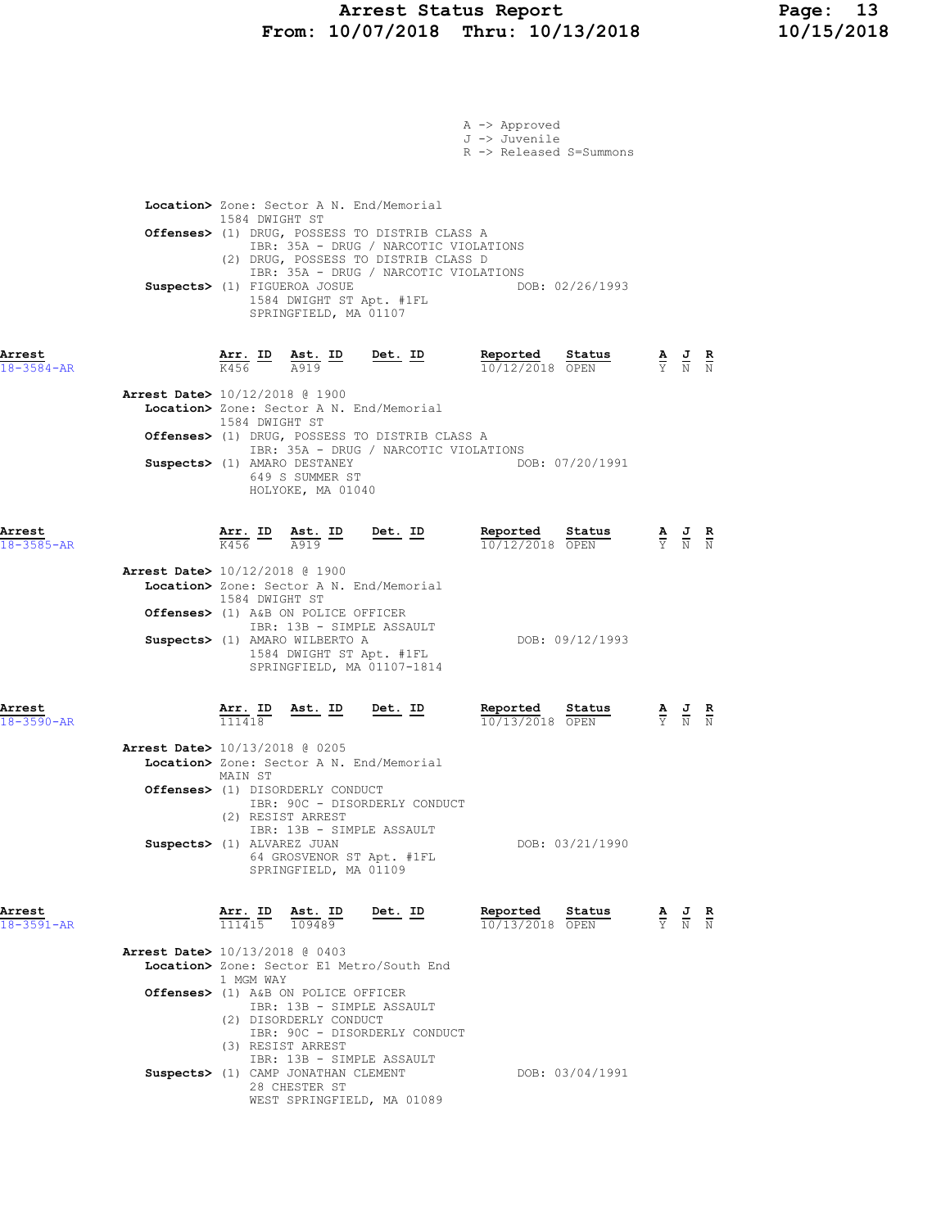## Arrest Status Report Page: 13 From: 10/07/2018 Thru: 10/13/2018 10/15/2018

|                            |                                                                                                                                                                                                                                                                        | A -> Approved<br>J -> Juvenile        | R -> Released S=Summons            |                                                                                                       |  |
|----------------------------|------------------------------------------------------------------------------------------------------------------------------------------------------------------------------------------------------------------------------------------------------------------------|---------------------------------------|------------------------------------|-------------------------------------------------------------------------------------------------------|--|
|                            | Location> Zone: Sector A N. End/Memorial<br>1584 DWIGHT ST<br>Offenses> (1) DRUG, POSSESS TO DISTRIB CLASS A                                                                                                                                                           | IBR: 35A - DRUG / NARCOTIC VIOLATIONS |                                    |                                                                                                       |  |
|                            | (2) DRUG, POSSESS TO DISTRIB CLASS D<br>Suspects> (1) FIGUEROA JOSUE<br>1584 DWIGHT ST Apt. #1FL<br>SPRINGFIELD, MA 01107                                                                                                                                              | IBR: 35A - DRUG / NARCOTIC VIOLATIONS | DOB: 02/26/1993                    |                                                                                                       |  |
| Arrest<br>$18 - 3584 - AR$ | $\frac{\texttt{Arr.}}{\text{K456}}$ ID<br>$\frac{\texttt{Ast.}}{\texttt{A919}}$ ID<br>Arrest Date> 10/12/2018 @ 1900                                                                                                                                                   | <u>Det. ID</u>                        | Reported Status<br>10/12/2018 OPEN | $\frac{\mathbf{A}}{\overline{Y}}$ $\frac{\mathbf{J}}{\overline{N}}$ $\frac{\mathbf{R}}{\overline{N}}$ |  |
|                            | Location> Zone: Sector A N. End/Memorial<br>1584 DWIGHT ST<br>Offenses> (1) DRUG, POSSESS TO DISTRIB CLASS A<br>Suspects> (1) AMARO DESTANEY<br>649 S SUMMER ST<br>HOLYOKE, MA 01040                                                                                   | IBR: 35A - DRUG / NARCOTIC VIOLATIONS | DOB: 07/20/1991                    |                                                                                                       |  |
| Arrest<br>$18 - 3585 - AR$ | Arr. ID Ast. ID<br>K456<br>A919                                                                                                                                                                                                                                        | Det. ID                               | Reported Status<br>10/12/2018 OPEN | $\frac{\mathbf{A}}{\mathbf{Y}}$ $\frac{\mathbf{J}}{\mathbf{N}}$ $\frac{\mathbf{R}}{\mathbf{N}}$       |  |
|                            | <b>Arrest Date&gt;</b> 10/12/2018 @ 1900<br>Location> Zone: Sector A N. End/Memorial<br>1584 DWIGHT ST<br>Offenses> (1) A&B ON POLICE OFFICER<br>IBR: 13B - SIMPLE ASSAULT<br>Suspects> (1) AMARO WILBERTO A<br>1584 DWIGHT ST Apt. #1FL<br>SPRINGFIELD, MA 01107-1814 |                                       | DOB: 09/12/1993                    |                                                                                                       |  |
| Arrest<br>$18 - 3590 - AR$ | Arr. ID Ast. ID<br>111418                                                                                                                                                                                                                                              | Det. ID                               | Reported Status<br>10/13/2018 OPEN | $\frac{\mathbf{A}}{\mathbf{Y}}$ $\frac{\mathbf{J}}{\mathbf{N}}$ $\frac{\mathbf{R}}{\mathbf{N}}$       |  |
|                            | Arrest Date> 10/13/2018 @ 0205<br>Location> Zone: Sector A N. End/Memorial<br>MAIN ST<br><b>Offenses&gt;</b> (1) DISORDERLY CONDUCT<br>IBR: 90C - DISORDERLY CONDUCT<br>(2) RESIST ARREST<br>IBR: 13B - SIMPLE ASSAULT<br>Suspects> (1) ALVAREZ JUAN                   |                                       | DOB: 03/21/1990                    |                                                                                                       |  |
| Arrest                     | 64 GROSVENOR ST Apt. #1FL<br>SPRINGFIELD, MA 01109<br>$\frac{\texttt{Arr.}}{111415}$ $\frac{\texttt{ Ast.}}{109489}$                                                                                                                                                   | $Det. ID$                             | Reported Status                    | $\frac{\mathbf{A}}{\mathbf{Y}}$ $\frac{\mathbf{J}}{\mathbf{N}}$ $\frac{\mathbf{R}}{\mathbf{N}}$       |  |
| $18 - 3591 - AR$           | <b>Arrest Date&gt;</b> 10/13/2018 @ 0403<br>Location> Zone: Sector E1 Metro/South End<br>1 MGM WAY<br>Offenses> (1) A&B ON POLICE OFFICER<br>IBR: 13B - SIMPLE ASSAULT<br>(2) DISORDERLY CONDUCT<br>IBR: 90C - DISORDERLY CONDUCT                                      |                                       | 10/13/2018 OPEN                    |                                                                                                       |  |
|                            | (3) RESIST ARREST<br>IBR: 13B - SIMPLE ASSAULT<br>Suspects> (1) CAMP JONATHAN CLEMENT<br>28 CHESTER ST<br>WEST SPRINGFIELD, MA 01089                                                                                                                                   |                                       | DOB: 03/04/1991                    |                                                                                                       |  |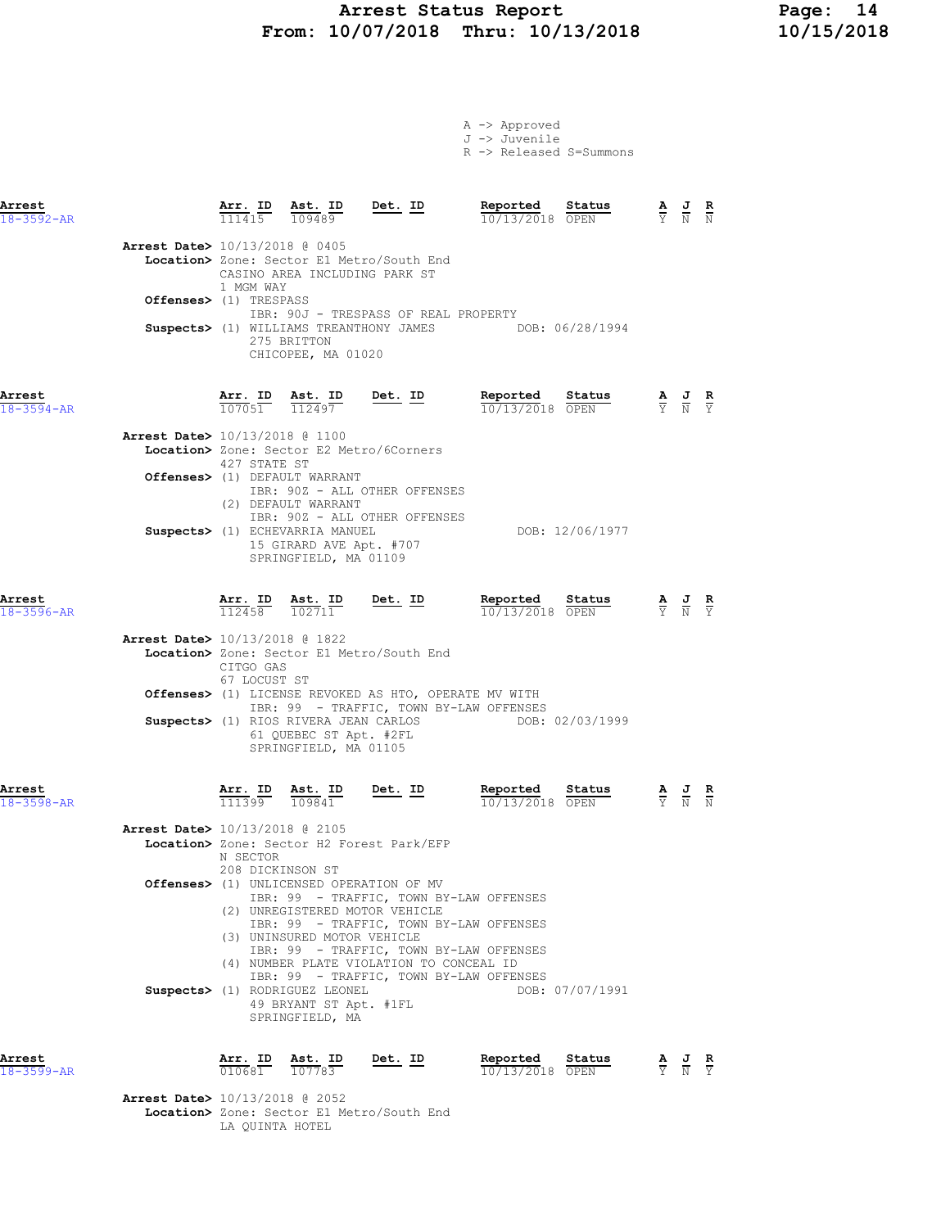# Arrest Status Report Page: 14 From: 10/07/2018 Thru: 10/13/2018 10/15/2018

A -> Approved

|                            |                                          |                                                                |                                                                                                            |                                                                                      | J -> Juvenile<br>R -> Released S=Summons                                                                                      |                                                                                                       |               |
|----------------------------|------------------------------------------|----------------------------------------------------------------|------------------------------------------------------------------------------------------------------------|--------------------------------------------------------------------------------------|-------------------------------------------------------------------------------------------------------------------------------|-------------------------------------------------------------------------------------------------------|---------------|
| Arrest<br>18-3592-AR       |                                          |                                                                | $\frac{\texttt{Arr.}}{111415}$ $\frac{\texttt{Ast.}}{109489}$                                              | <u>Det.</u> ID                                                                       | Reported<br>Status<br>10/13/2018 OPEN                                                                                         | $\frac{\mathbf{A}}{\mathbf{Y}}$ $\frac{\mathbf{J}}{\mathbf{N}}$ $\frac{\mathbf{R}}{\mathbf{N}}$       |               |
|                            | Arrest Date> 10/13/2018 @ 0405           | 1 MGM WAY                                                      | CASINO AREA INCLUDING PARK ST                                                                              | Location> Zone: Sector E1 Metro/South End                                            |                                                                                                                               |                                                                                                       |               |
|                            | Offenses> (1) TRESPASS                   |                                                                |                                                                                                            | IBR: 90J - TRESPASS OF REAL PROPERTY                                                 |                                                                                                                               |                                                                                                       |               |
|                            |                                          |                                                                | 275 BRITTON<br>CHICOPEE, MA 01020                                                                          |                                                                                      | Suspects> (1) WILLIAMS TREANTHONY JAMES DOB: 06/28/1994                                                                       |                                                                                                       |               |
| Arrest<br>$18 - 3594 - AR$ |                                          |                                                                | $\frac{\text{Arr.}}{107051}$ $\frac{\text{Ast.}}{112497}$                                                  | $Det. ID$                                                                            | Reported<br>Status<br>10/13/2018 OPEN                                                                                         | $\frac{\mathbf{A}}{\overline{Y}}$ $\frac{\mathbf{J}}{\overline{N}}$ $\frac{\mathbf{R}}{\overline{Y}}$ |               |
|                            | Arrest Date> 10/13/2018 @ 1100           | 427 STATE ST                                                   |                                                                                                            | Location> Zone: Sector E2 Metro/6Corners                                             |                                                                                                                               |                                                                                                       |               |
|                            |                                          |                                                                | Offenses> (1) DEFAULT WARRANT<br>(2) DEFAULT WARRANT                                                       | IBR: 90Z - ALL OTHER OFFENSES                                                        |                                                                                                                               |                                                                                                       |               |
|                            |                                          |                                                                | Suspects> (1) ECHEVARRIA MANUEL<br>15 GIRARD AVE Apt. #707<br>SPRINGFIELD, MA 01109                        | IBR: 90Z - ALL OTHER OFFENSES                                                        | DOB: 12/06/1977                                                                                                               |                                                                                                       |               |
| Arrest<br>18-3596-AR       |                                          | <u>Arr.</u> ID<br>112458                                       | <u>Ast.</u> ID<br>102711                                                                                   | Det. ID                                                                              | Reported<br>Status<br>10/13/2018 OPEN                                                                                         | $\frac{\mathbf{A}}{\mathbf{Y}}$ $\frac{\mathbf{J}}{\mathbf{N}}$ $\frac{\mathbf{R}}{\mathbf{Y}}$       |               |
|                            | <b>Arrest Date&gt;</b> 10/13/2018 @ 1822 | CITGO GAS<br>67 LOCUST ST                                      |                                                                                                            | Location> Zone: Sector E1 Metro/South End                                            |                                                                                                                               |                                                                                                       |               |
|                            |                                          |                                                                | Suspects> (1) RIOS RIVERA JEAN CARLOS<br>61 QUEBEC ST Apt. #2FL<br>SPRINGFIELD, MA 01105                   |                                                                                      | <b>Offenses&gt;</b> (1) LICENSE REVOKED AS HTO, OPERATE MV WITH<br>IBR: 99 - TRAFFIC, TOWN BY-LAW OFFENSES<br>DOB: 02/03/1999 |                                                                                                       |               |
| Arrest<br>$18 - 3598 - AR$ |                                          | $\frac{\texttt{Arr. ID}}{111399}$                              | $\frac{\text{Ast.}}{109841}$                                                                               | <u>Det. ID</u>                                                                       | Reported<br>Status<br>10/13/2018 OPEN                                                                                         | $\frac{1}{N}$                                                                                         | $\frac{R}{N}$ |
|                            | Arrest Date> 10/13/2018 @ 2105           | N SECTOR<br>208 DICKINSON ST                                   |                                                                                                            | Location> Zone: Sector H2 Forest Park/EFP                                            |                                                                                                                               |                                                                                                       |               |
|                            |                                          |                                                                |                                                                                                            | <b>Offenses&gt;</b> (1) UNLICENSED OPERATION OF MV<br>(2) UNREGISTERED MOTOR VEHICLE | IBR: 99 - TRAFFIC, TOWN BY-LAW OFFENSES<br>IBR: 99 - TRAFFIC, TOWN BY-LAW OFFENSES                                            |                                                                                                       |               |
|                            |                                          |                                                                | (3) UNINSURED MOTOR VEHICLE<br>Suspects> (1) RODRIGUEZ LEONEL<br>49 BRYANT ST Apt. #1FL<br>SPRINGFIELD, MA | (4) NUMBER PLATE VIOLATION TO CONCEAL ID                                             | IBR: 99 - TRAFFIC, TOWN BY-LAW OFFENSES<br>IBR: 99 - TRAFFIC, TOWN BY-LAW OFFENSES<br>DOB: 07/07/1991                         |                                                                                                       |               |
| Arrest<br>18-3599-AR       |                                          | $\frac{\texttt{Arr.}}{010681}$ $\frac{\texttt{ Ast.}}{107783}$ | <u>Ast. ID</u>                                                                                             | Det. ID                                                                              | Reported<br><b>Status</b> $A$ <b>J R</b><br>OPEN $Y$ <b>N</b> $Y$<br>10/13/2018 OPEN                                          |                                                                                                       |               |
|                            | <b>Arrest Date&gt;</b> 10/13/2018 @ 2052 |                                                                |                                                                                                            | Location> Zone: Sector E1 Metro/South End                                            |                                                                                                                               |                                                                                                       |               |

LA QUINTA HOTEL